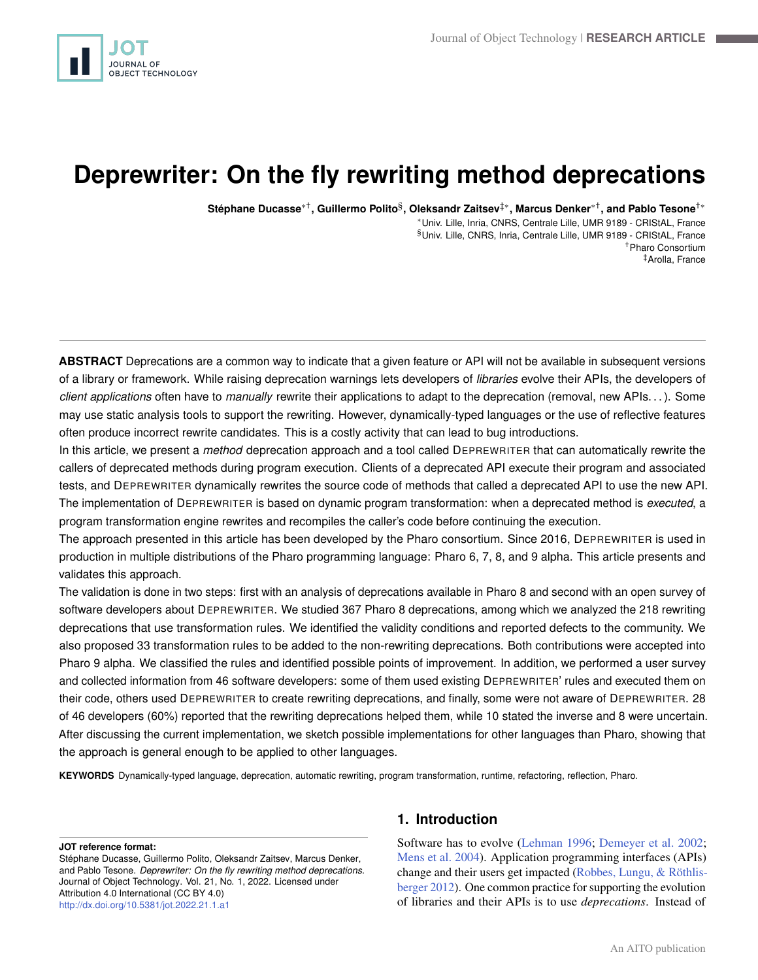<span id="page-0-0"></span>

# **Deprewriter: On the fly rewriting method deprecations**

**Stéphane Ducasse**∗† **, Guillermo Polito**§ **, Oleksandr Zaitsev**‡<sup>∗</sup> **, Marcus Denker**∗† **, and Pablo Tesone**†<sup>∗</sup>

<sup>∗</sup>Univ. Lille, Inria, CNRS, Centrale Lille, UMR 9189 - CRIStAL, France §Univ. Lille, CNRS, Inria, Centrale Lille, UMR 9189 - CRIStAL, France †Pharo Consortium ‡Arolla, France

**ABSTRACT** Deprecations are a common way to indicate that a given feature or API will not be available in subsequent versions of a library or framework. While raising deprecation warnings lets developers of *libraries* evolve their APIs, the developers of *client applications* often have to *manually* rewrite their applications to adapt to the deprecation (removal, new APIs. . . ). Some may use static analysis tools to support the rewriting. However, dynamically-typed languages or the use of reflective features often produce incorrect rewrite candidates. This is a costly activity that can lead to bug introductions.

In this article, we present a *method* deprecation approach and a tool called DEPREWRITER that can automatically rewrite the callers of deprecated methods during program execution. Clients of a deprecated API execute their program and associated tests, and DEPREWRITER dynamically rewrites the source code of methods that called a deprecated API to use the new API. The implementation of DEPREWRITER is based on dynamic program transformation: when a deprecated method is *executed*, a program transformation engine rewrites and recompiles the caller's code before continuing the execution.

The approach presented in this article has been developed by the Pharo consortium. Since 2016, DEPREWRITER is used in production in multiple distributions of the Pharo programming language: Pharo 6, 7, 8, and 9 alpha. This article presents and validates this approach.

The validation is done in two steps: first with an analysis of deprecations available in Pharo 8 and second with an open survey of software developers about DEPREWRITER. We studied 367 Pharo 8 deprecations, among which we analyzed the 218 rewriting deprecations that use transformation rules. We identified the validity conditions and reported defects to the community. We also proposed 33 transformation rules to be added to the non-rewriting deprecations. Both contributions were accepted into Pharo 9 alpha. We classified the rules and identified possible points of improvement. In addition, we performed a user survey and collected information from 46 software developers: some of them used existing DEPREWRITER' rules and executed them on their code, others used DEPREWRITER to create rewriting deprecations, and finally, some were not aware of DEPREWRITER. 28 of 46 developers (60%) reported that the rewriting deprecations helped them, while 10 stated the inverse and 8 were uncertain. After discussing the current implementation, we sketch possible implementations for other languages than Pharo, showing that the approach is general enough to be applied to other languages.

**KEYWORDS** Dynamically-typed language, deprecation, automatic rewriting, program transformation, runtime, refactoring, reflection, Pharo.

#### **JOT reference format:**

# **1. Introduction**

Software has to evolve [\(Lehman](#page-19-0) [1996;](#page-19-0) [Demeyer et al.](#page-18-0) [2002;](#page-18-0) [Mens et al.](#page-19-1) [2004\)](#page-19-1). Application programming interfaces (APIs) change and their users get impacted [\(Robbes, Lungu, & Röthlis](#page-19-2)[berger](#page-19-2) [2012\)](#page-19-2). One common practice for supporting the evolution of libraries and their APIs is to use *deprecations*. Instead of

Stéphane Ducasse, Guillermo Polito, Oleksandr Zaitsev, Marcus Denker, and Pablo Tesone. *Deprewriter: On the fly rewriting method deprecations*. Journal of Object Technology. Vol. 21, No. 1, 2022. Licensed under Attribution 4.0 International (CC BY 4.0) <http://dx.doi.org/10.5381/jot.2022.21.1.a1>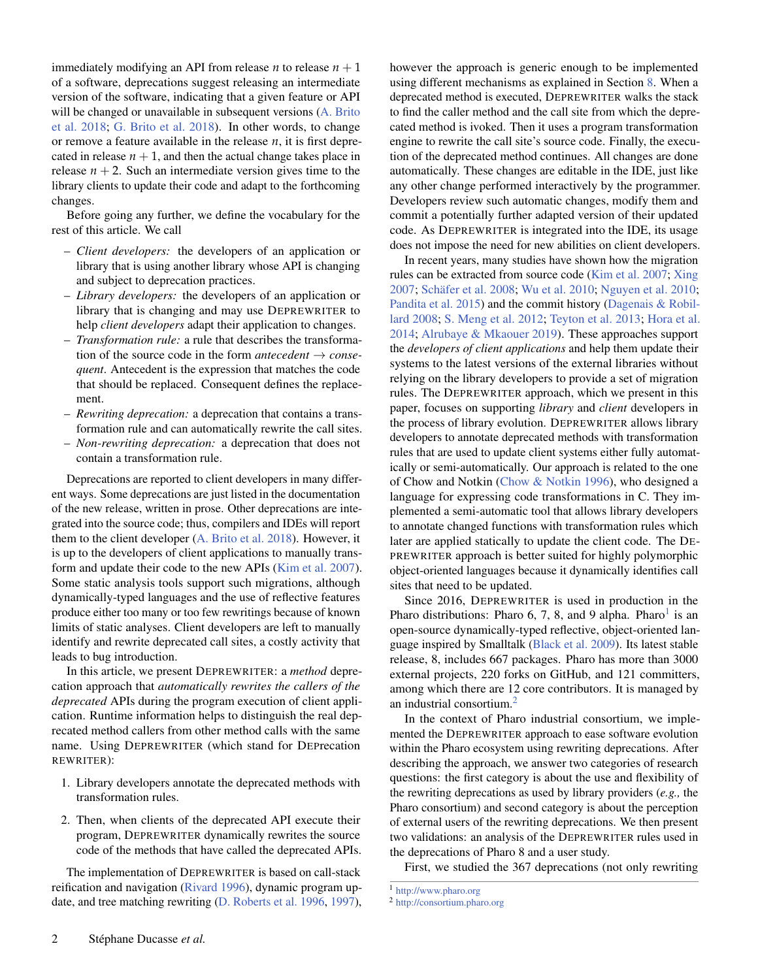immediately modifying an API from release  $n$  to release  $n + 1$ of a software, deprecations suggest releasing an intermediate version of the software, indicating that a given feature or API will be changed or unavailable in subsequent versions [\(A. Brito](#page-18-1) [et al.](#page-18-1) [2018;](#page-18-1) [G. Brito et al.](#page-18-2) [2018\)](#page-18-2). In other words, to change or remove a feature available in the release *n*, it is first deprecated in release  $n + 1$ , and then the actual change takes place in release  $n + 2$ . Such an intermediate version gives time to the library clients to update their code and adapt to the forthcoming changes.

Before going any further, we define the vocabulary for the rest of this article. We call

- *Client developers:* the developers of an application or library that is using another library whose API is changing and subject to deprecation practices.
- *Library developers:* the developers of an application or library that is changing and may use DEPREWRITER to help *client developers* adapt their application to changes.
- *Transformation rule:* a rule that describes the transformation of the source code in the form *antecedent*  $\rightarrow$  *consequent*. Antecedent is the expression that matches the code that should be replaced. Consequent defines the replacement.
- *Rewriting deprecation:* a deprecation that contains a transformation rule and can automatically rewrite the call sites.
- *Non-rewriting deprecation:* a deprecation that does not contain a transformation rule.

Deprecations are reported to client developers in many different ways. Some deprecations are just listed in the documentation of the new release, written in prose. Other deprecations are integrated into the source code; thus, compilers and IDEs will report them to the client developer [\(A. Brito et al.](#page-18-1) [2018\)](#page-18-1). However, it is up to the developers of client applications to manually transform and update their code to the new APIs [\(Kim et al.](#page-18-3) [2007\)](#page-18-3). Some static analysis tools support such migrations, although dynamically-typed languages and the use of reflective features produce either too many or too few rewritings because of known limits of static analyses. Client developers are left to manually identify and rewrite deprecated call sites, a costly activity that leads to bug introduction.

In this article, we present DEPREWRITER: a *method* deprecation approach that *automatically rewrites the callers of the deprecated* APIs during the program execution of client application. Runtime information helps to distinguish the real deprecated method callers from other method calls with the same name. Using DEPREWRITER (which stand for DEPrecation REWRITER):

- 1. Library developers annotate the deprecated methods with transformation rules.
- 2. Then, when clients of the deprecated API execute their program, DEPREWRITER dynamically rewrites the source code of the methods that have called the deprecated APIs.

The implementation of DEPREWRITER is based on call-stack reification and navigation [\(Rivard](#page-19-3) [1996\)](#page-19-3), dynamic program update, and tree matching rewriting [\(D. Roberts et al.](#page-19-4) [1996,](#page-19-4) [1997\)](#page-19-5), however the approach is generic enough to be implemented using different mechanisms as explained in Section [8.](#page-13-0) When a deprecated method is executed, DEPREWRITER walks the stack to find the caller method and the call site from which the deprecated method is ivoked. Then it uses a program transformation engine to rewrite the call site's source code. Finally, the execution of the deprecated method continues. All changes are done automatically. These changes are editable in the IDE, just like any other change performed interactively by the programmer. Developers review such automatic changes, modify them and commit a potentially further adapted version of their updated code. As DEPREWRITER is integrated into the IDE, its usage does not impose the need for new abilities on client developers.

In recent years, many studies have shown how the migration rules can be extracted from source code [\(Kim et al.](#page-18-3) [2007;](#page-18-3) [Xing](#page-20-0) [2007;](#page-20-0) [Schäfer et al.](#page-19-6) [2008;](#page-19-6) [Wu et al.](#page-20-1) [2010;](#page-20-1) [Nguyen et al.](#page-19-7) [2010;](#page-19-7) [Pandita et al.](#page-19-8) [2015\)](#page-19-8) and the commit history [\(Dagenais & Robil](#page-18-4)[lard](#page-18-4) [2008;](#page-18-4) [S. Meng et al.](#page-19-9) [2012;](#page-19-9) [Teyton et al.](#page-20-2) [2013;](#page-20-2) [Hora et al.](#page-18-5) [2014;](#page-18-5) [Alrubaye & Mkaouer](#page-18-6) [2019\)](#page-18-6). These approaches support the *developers of client applications* and help them update their systems to the latest versions of the external libraries without relying on the library developers to provide a set of migration rules. The DEPREWRITER approach, which we present in this paper, focuses on supporting *library* and *client* developers in the process of library evolution. DEPREWRITER allows library developers to annotate deprecated methods with transformation rules that are used to update client systems either fully automatically or semi-automatically. Our approach is related to the one of Chow and Notkin [\(Chow & Notkin](#page-18-7) [1996\)](#page-18-7), who designed a language for expressing code transformations in C. They implemented a semi-automatic tool that allows library developers to annotate changed functions with transformation rules which later are applied statically to update the client code. The DE-PREWRITER approach is better suited for highly polymorphic object-oriented languages because it dynamically identifies call sites that need to be updated.

Since 2016, DEPREWRITER is used in production in the Pharo distributions: Pharo 6, 7, 8, and 9 alpha. Pharo<sup>[1](#page-0-0)</sup> is an open-source dynamically-typed reflective, object-oriented language inspired by Smalltalk [\(Black et al.](#page-18-8) [2009\)](#page-18-8). Its latest stable release, 8, includes 667 packages. Pharo has more than 3000 external projects, 220 forks on GitHub, and 121 committers, among which there are 12 core contributors. It is managed by an industrial consortium.[2](#page-0-0)

In the context of Pharo industrial consortium, we implemented the DEPREWRITER approach to ease software evolution within the Pharo ecosystem using rewriting deprecations. After describing the approach, we answer two categories of research questions: the first category is about the use and flexibility of the rewriting deprecations as used by library providers (*e.g.,* the Pharo consortium) and second category is about the perception of external users of the rewriting deprecations. We then present two validations: an analysis of the DEPREWRITER rules used in the deprecations of Pharo 8 and a user study.

First, we studied the 367 deprecations (not only rewriting

<sup>1</sup> <http://www.pharo.org>

<sup>2</sup> <http://consortium.pharo.org>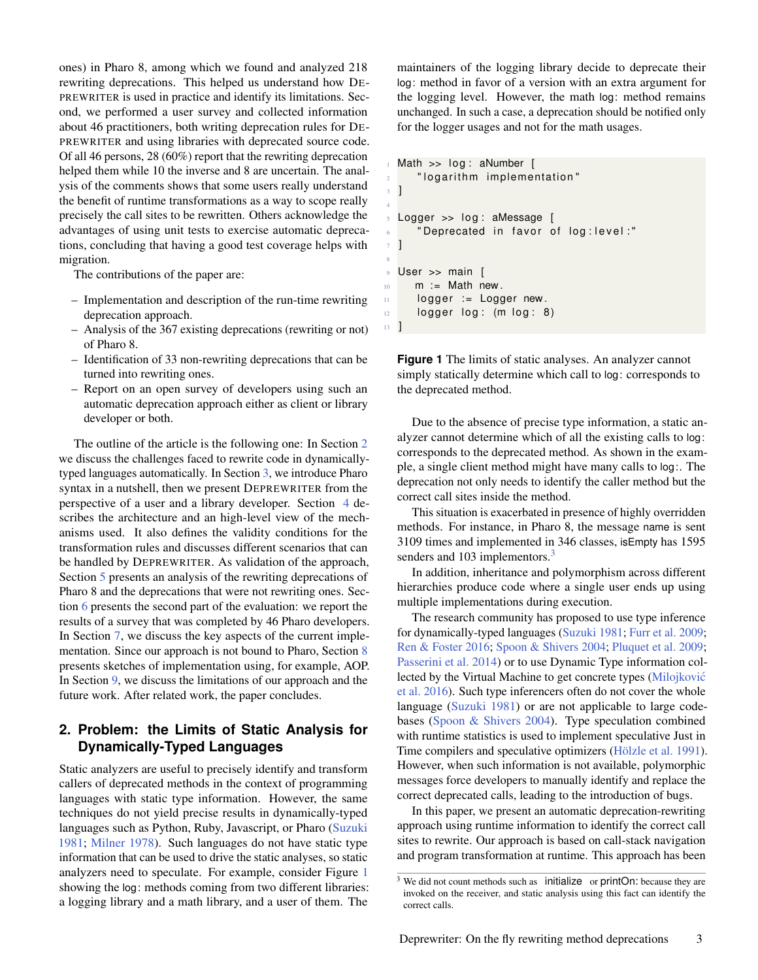ones) in Pharo 8, among which we found and analyzed 218 rewriting deprecations. This helped us understand how DE-PREWRITER is used in practice and identify its limitations. Second, we performed a user survey and collected information about 46 practitioners, both writing deprecation rules for DE-PREWRITER and using libraries with deprecated source code. Of all 46 persons, 28 (60%) report that the rewriting deprecation helped them while 10 the inverse and 8 are uncertain. The analysis of the comments shows that some users really understand the benefit of runtime transformations as a way to scope really precisely the call sites to be rewritten. Others acknowledge the advantages of using unit tests to exercise automatic deprecations, concluding that having a good test coverage helps with migration.

The contributions of the paper are:

- Implementation and description of the run-time rewriting deprecation approach.
- Analysis of the 367 existing deprecations (rewriting or not) of Pharo 8.
- Identification of 33 non-rewriting deprecations that can be turned into rewriting ones.
- Report on an open survey of developers using such an automatic deprecation approach either as client or library developer or both.

The outline of the article is the following one: In Section [2](#page-2-0) we discuss the challenges faced to rewrite code in dynamicallytyped languages automatically. In Section [3,](#page-3-0) we introduce Pharo syntax in a nutshell, then we present DEPREWRITER from the perspective of a user and a library developer. Section [4](#page-4-0) describes the architecture and an high-level view of the mechanisms used. It also defines the validity conditions for the transformation rules and discusses different scenarios that can be handled by DEPREWRITER. As validation of the approach, Section [5](#page-7-0) presents an analysis of the rewriting deprecations of Pharo 8 and the deprecations that were not rewriting ones. Section [6](#page-9-0) presents the second part of the evaluation: we report the results of a survey that was completed by 46 Pharo developers. In Section [7,](#page-12-0) we discuss the key aspects of the current implementation. Since our approach is not bound to Pharo, Section [8](#page-13-0) presents sketches of implementation using, for example, AOP. In Section [9,](#page-14-0) we discuss the limitations of our approach and the future work. After related work, the paper concludes.

## <span id="page-2-0"></span>**2. Problem: the Limits of Static Analysis for Dynamically-Typed Languages**

Static analyzers are useful to precisely identify and transform callers of deprecated methods in the context of programming languages with static type information. However, the same techniques do not yield precise results in dynamically-typed languages such as Python, Ruby, Javascript, or Pharo [\(Suzuki](#page-20-3) [1981;](#page-20-3) [Milner](#page-19-10) [1978\)](#page-19-10). Such languages do not have static type information that can be used to drive the static analyses, so static analyzers need to speculate. For example, consider Figure [1](#page-2-1) showing the log: methods coming from two different libraries: a logging library and a math library, and a user of them. The

maintainers of the logging library decide to deprecate their log: method in favor of a version with an extra argument for the logging level. However, the math log: method remains unchanged. In such a case, a deprecation should be notified only for the logger usages and not for the math usages.

```
Math >> log : aNumber [
2 "logarithm implementation"
3 ]
 Logger >> log: aMessage [6 " Deprecated in favor of log: level:"
7 ]
9 User >> main [
10 m := Math new.
11 logger := Logger new.
12 logger log: (m log: 8)13 ]
```
4

8

**Figure 1** The limits of static analyses. An analyzer cannot simply statically determine which call to log: corresponds to the deprecated method.

Due to the absence of precise type information, a static analyzer cannot determine which of all the existing calls to log: corresponds to the deprecated method. As shown in the example, a single client method might have many calls to log:. The deprecation not only needs to identify the caller method but the correct call sites inside the method.

This situation is exacerbated in presence of highly overridden methods. For instance, in Pharo 8, the message name is sent 3109 times and implemented in 346 classes, isEmpty has 1595 senders and 10[3](#page-0-0) implementors.<sup>3</sup>

In addition, inheritance and polymorphism across different hierarchies produce code where a single user ends up using multiple implementations during execution.

The research community has proposed to use type inference for dynamically-typed languages [\(Suzuki](#page-20-3) [1981;](#page-20-3) [Furr et al.](#page-18-9) [2009;](#page-18-9) [Ren & Foster](#page-19-11) [2016;](#page-19-11) [Spoon & Shivers](#page-20-4) [2004;](#page-20-4) [Pluquet et al.](#page-19-12) [2009;](#page-19-12) [Passerini et al.](#page-19-13) [2014\)](#page-19-13) or to use Dynamic Type information collected by the Virtual Machine to get concrete types [\(Milojkovic´](#page-19-14) [et al.](#page-19-14) [2016\)](#page-19-14). Such type inferencers often do not cover the whole language [\(Suzuki](#page-20-3) [1981\)](#page-20-3) or are not applicable to large codebases [\(Spoon & Shivers](#page-20-4) [2004\)](#page-20-4). Type speculation combined with runtime statistics is used to implement speculative Just in Time compilers and speculative optimizers [\(Hölzle et al.](#page-18-10) [1991\)](#page-18-10). However, when such information is not available, polymorphic messages force developers to manually identify and replace the correct deprecated calls, leading to the introduction of bugs.

In this paper, we present an automatic deprecation-rewriting approach using runtime information to identify the correct call sites to rewrite. Our approach is based on call-stack navigation and program transformation at runtime. This approach has been

<sup>&</sup>lt;sup>3</sup> We did not count methods such as initialize or printOn: because they are invoked on the receiver, and static analysis using this fact can identify the correct calls.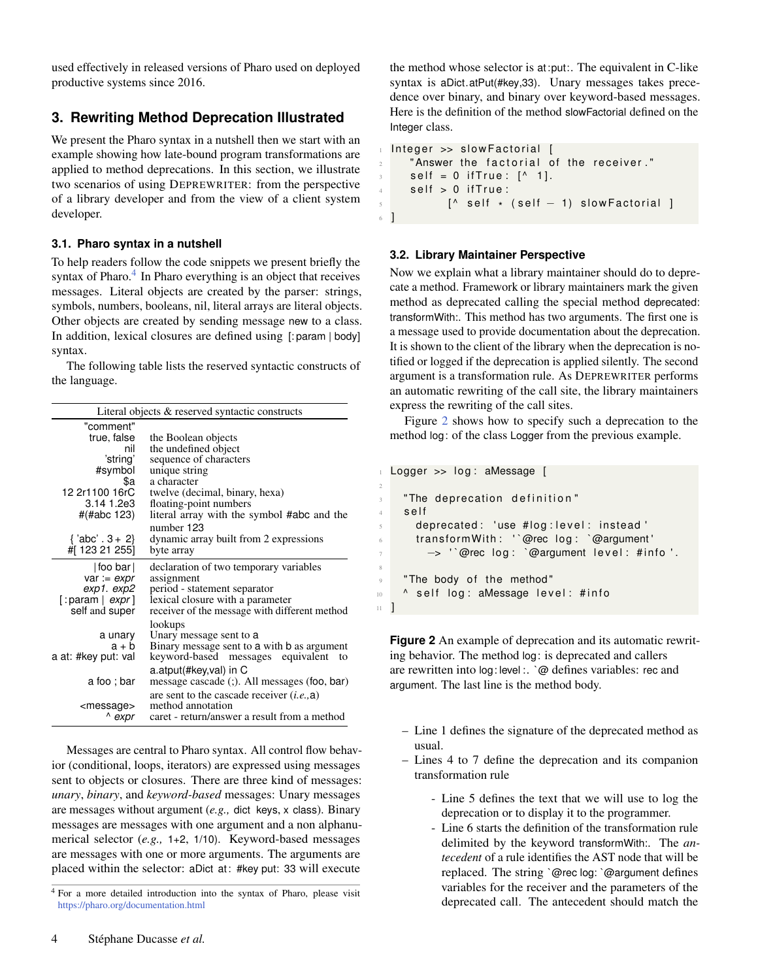used effectively in released versions of Pharo used on deployed productive systems since 2016.

# <span id="page-3-0"></span>**3. Rewriting Method Deprecation Illustrated**

We present the Pharo syntax in a nutshell then we start with an example showing how late-bound program transformations are applied to method deprecations. In this section, we illustrate two scenarios of using DEPREWRITER: from the perspective of a library developer and from the view of a client system developer.

### **3.1. Pharo syntax in a nutshell**

To help readers follow the code snippets we present briefly the syntax of Pharo.<sup>[4](#page-0-0)</sup> In Pharo everything is an object that receives messages. Literal objects are created by the parser: strings, symbols, numbers, booleans, nil, literal arrays are literal objects. Other objects are created by sending message new to a class. In addition, lexical closures are defined using [: param | body] syntax.

The following table lists the reserved syntactic constructs of the language.

|                             | Literal objects & reserved syntactic constructs |
|-----------------------------|-------------------------------------------------|
| "comment"                   |                                                 |
| true, false                 | the Boolean objects                             |
| nil                         | the undefined object                            |
| 'string'                    | sequence of characters                          |
| #symbol                     | unique string                                   |
| \$a                         | a character                                     |
| 12 2r1100 16rC              | twelve (decimal, binary, hexa)                  |
| 3.14 1.2e3                  | floating-point numbers                          |
| #(#abc 123)                 | literal array with the symbol #abc and the      |
|                             | number 123                                      |
| ${^{\prime}}$ abc' . 3 + 2} | dynamic array built from 2 expressions          |
| #[123 21 255]               | byte array                                      |
| $ $ foo bar $ $             | declaration of two temporary variables          |
| var := $expr$               | assignment                                      |
| exp1.exp2                   | period - statement separator                    |
| [: param $ expr $           | lexical closure with a parameter                |
| self and super              | receiver of the message with different method   |
|                             | lookups                                         |
| a unary                     | Unary message sent to a                         |
| a + b                       | Binary message sent to a with b as argument     |
| a at: #key put: val         | keyword-based messages equivalent<br>to         |
|                             | a.atput(#key, val) in C                         |
| a foo ; bar                 | message cascade (;). All messages (foo, bar)    |
|                             | are sent to the cascade receiver $(i.e., a)$    |
| <message></message>         | method annotation                               |
| expr                        | caret - return/answer a result from a method    |

Messages are central to Pharo syntax. All control flow behavior (conditional, loops, iterators) are expressed using messages sent to objects or closures. There are three kind of messages: *unary*, *binary*, and *keyword-based* messages: Unary messages are messages without argument (*e.g.,* dict keys, x class). Binary messages are messages with one argument and a non alphanumerical selector (*e.g.,* 1+2, 1/10). Keyword-based messages are messages with one or more arguments. The arguments are placed within the selector: aDict at: #key put: 33 will execute

the method whose selector is at:put:. The equivalent in C-like syntax is aDict.atPut(#key,33). Unary messages takes precedence over binary, and binary over keyword-based messages. Here is the definition of the method slowFactorial defined on the Integer class.

```
Integer \gg slower actorial [
      " Answer the factorial of the receiver."
      self = 0 if True : [^{\wedge} 1].
      self > 0 if True:
\begin{bmatrix} \wedge & \mathsf{self} \end{bmatrix} self \star (self -1) slowFactorial ]
6 ]
```
#### **3.2. Library Maintainer Perspective**

2

8

Now we explain what a library maintainer should do to deprecate a method. Framework or library maintainers mark the given method as deprecated calling the special method deprecated: transformWith:. This method has two arguments. The first one is a message used to provide documentation about the deprecation. It is shown to the client of the library when the deprecation is notified or logged if the deprecation is applied silently. The second argument is a transformation rule. As DEPREWRITER performs an automatic rewriting of the call site, the library maintainers express the rewriting of the call sites.

Figure [2](#page-3-1) shows how to specify such a deprecation to the method log: of the class Logger from the previous example.

```
Logger >> log: aMessage [
    " The deprecation definition"
    s e l f
      deprecated: 'use #log:level: instead'
6 transform With: '`@rec log: `@argument'
        -> '`@rec log: `@argument level: #info'.
    " The body of the method"
10 ^ self log: aMessage level: #info
11 \quad 1
```
**Figure 2** An example of deprecation and its automatic rewriting behavior. The method log: is deprecated and callers are rewritten into log: level :. `@ defines variables: rec and argument. The last line is the method body.

- Line 1 defines the signature of the deprecated method as usual.
- Lines 4 to 7 define the deprecation and its companion transformation rule
	- Line 5 defines the text that we will use to log the deprecation or to display it to the programmer.
	- Line 6 starts the definition of the transformation rule delimited by the keyword transformWith:. The *antecedent* of a rule identifies the AST node that will be replaced. The string `@rec log: `@argument defines variables for the receiver and the parameters of the deprecated call. The antecedent should match the

<sup>4</sup> For a more detailed introduction into the syntax of Pharo, please visit <https://pharo.org/documentation.html>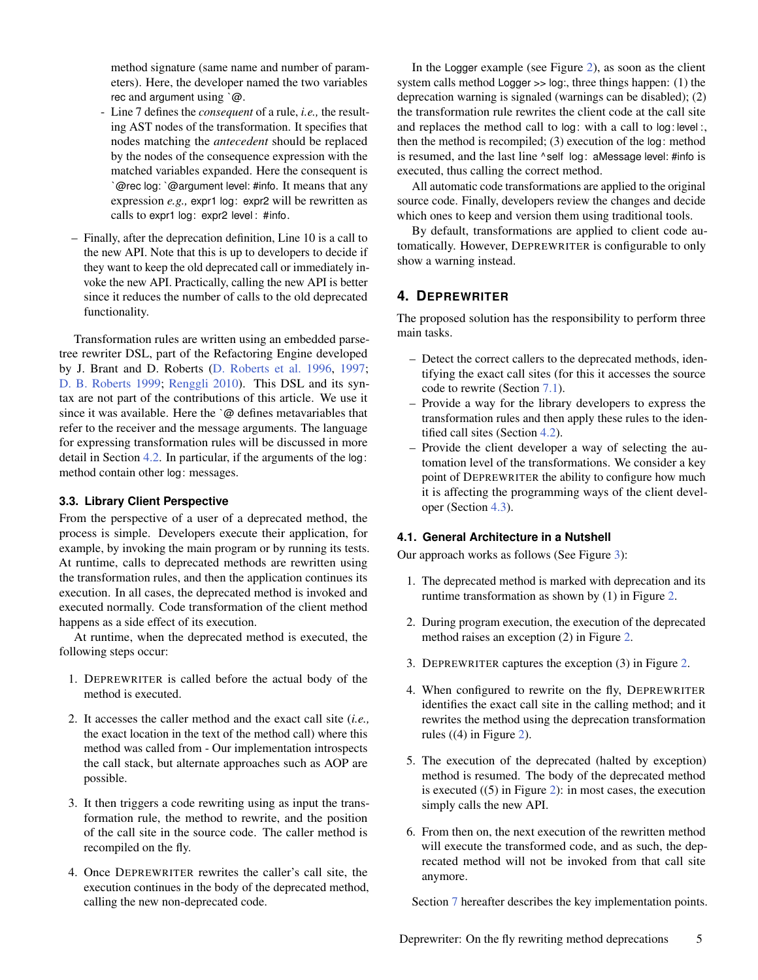method signature (same name and number of parameters). Here, the developer named the two variables rec and argument using `@.

- Line 7 defines the *consequent* of a rule, *i.e.,* the resulting AST nodes of the transformation. It specifies that nodes matching the *antecedent* should be replaced by the nodes of the consequence expression with the matched variables expanded. Here the consequent is `@rec log: `@argument level: #info. It means that any expression *e.g.,* expr1 log: expr2 will be rewritten as calls to expr1 log: expr2 level : #info.
- Finally, after the deprecation definition, Line 10 is a call to the new API. Note that this is up to developers to decide if they want to keep the old deprecated call or immediately invoke the new API. Practically, calling the new API is better since it reduces the number of calls to the old deprecated functionality.

Transformation rules are written using an embedded parsetree rewriter DSL, part of the Refactoring Engine developed by J. Brant and D. Roberts [\(D. Roberts et al.](#page-19-4) [1996,](#page-19-4) [1997;](#page-19-5) [D. B. Roberts](#page-19-15) [1999;](#page-19-15) [Renggli](#page-19-16) [2010\)](#page-19-16). This DSL and its syntax are not part of the contributions of this article. We use it since it was available. Here the `@ defines metavariables that refer to the receiver and the message arguments. The language for expressing transformation rules will be discussed in more detail in Section [4.2.](#page-4-1) In particular, if the arguments of the log: method contain other log: messages.

#### **3.3. Library Client Perspective**

From the perspective of a user of a deprecated method, the process is simple. Developers execute their application, for example, by invoking the main program or by running its tests. At runtime, calls to deprecated methods are rewritten using the transformation rules, and then the application continues its execution. In all cases, the deprecated method is invoked and executed normally. Code transformation of the client method happens as a side effect of its execution.

At runtime, when the deprecated method is executed, the following steps occur:

- 1. DEPREWRITER is called before the actual body of the method is executed.
- 2. It accesses the caller method and the exact call site (*i.e.,* the exact location in the text of the method call) where this method was called from - Our implementation introspects the call stack, but alternate approaches such as AOP are possible.
- 3. It then triggers a code rewriting using as input the transformation rule, the method to rewrite, and the position of the call site in the source code. The caller method is recompiled on the fly.
- 4. Once DEPREWRITER rewrites the caller's call site, the execution continues in the body of the deprecated method, calling the new non-deprecated code.

In the Logger example (see Figure [2\)](#page-3-1), as soon as the client system calls method Logger >> log:, three things happen: (1) the deprecation warning is signaled (warnings can be disabled); (2) the transformation rule rewrites the client code at the call site and replaces the method call to log: with a call to log: level :, then the method is recompiled; (3) execution of the log: method is resumed, and the last line ^ self log: aMessage level: #info is executed, thus calling the correct method.

All automatic code transformations are applied to the original source code. Finally, developers review the changes and decide which ones to keep and version them using traditional tools.

By default, transformations are applied to client code automatically. However, DEPREWRITER is configurable to only show a warning instead.

## <span id="page-4-0"></span>**4. DEPREWRITER**

The proposed solution has the responsibility to perform three main tasks.

- Detect the correct callers to the deprecated methods, identifying the exact call sites (for this it accesses the source code to rewrite (Section [7.1\)](#page-12-1).
- Provide a way for the library developers to express the transformation rules and then apply these rules to the identified call sites (Section [4.2\)](#page-4-1).
- Provide the client developer a way of selecting the automation level of the transformations. We consider a key point of DEPREWRITER the ability to configure how much it is affecting the programming ways of the client developer (Section [4.3\)](#page-5-0).

## **4.1. General Architecture in a Nutshell**

Our approach works as follows (See Figure [3\)](#page-5-1):

- 1. The deprecated method is marked with deprecation and its runtime transformation as shown by (1) in Figure [2.](#page-3-1)
- 2. During program execution, the execution of the deprecated method raises an exception (2) in Figure [2.](#page-3-1)
- 3. DEPREWRITER captures the exception (3) in Figure [2.](#page-3-1)
- 4. When configured to rewrite on the fly, DEPREWRITER identifies the exact call site in the calling method; and it rewrites the method using the deprecation transformation rules ((4) in Figure [2\)](#page-3-1).
- 5. The execution of the deprecated (halted by exception) method is resumed. The body of the deprecated method is executed ((5) in Figure [2\)](#page-3-1): in most cases, the execution simply calls the new API.
- 6. From then on, the next execution of the rewritten method will execute the transformed code, and as such, the deprecated method will not be invoked from that call site anymore.

<span id="page-4-1"></span>Section [7](#page-12-0) hereafter describes the key implementation points.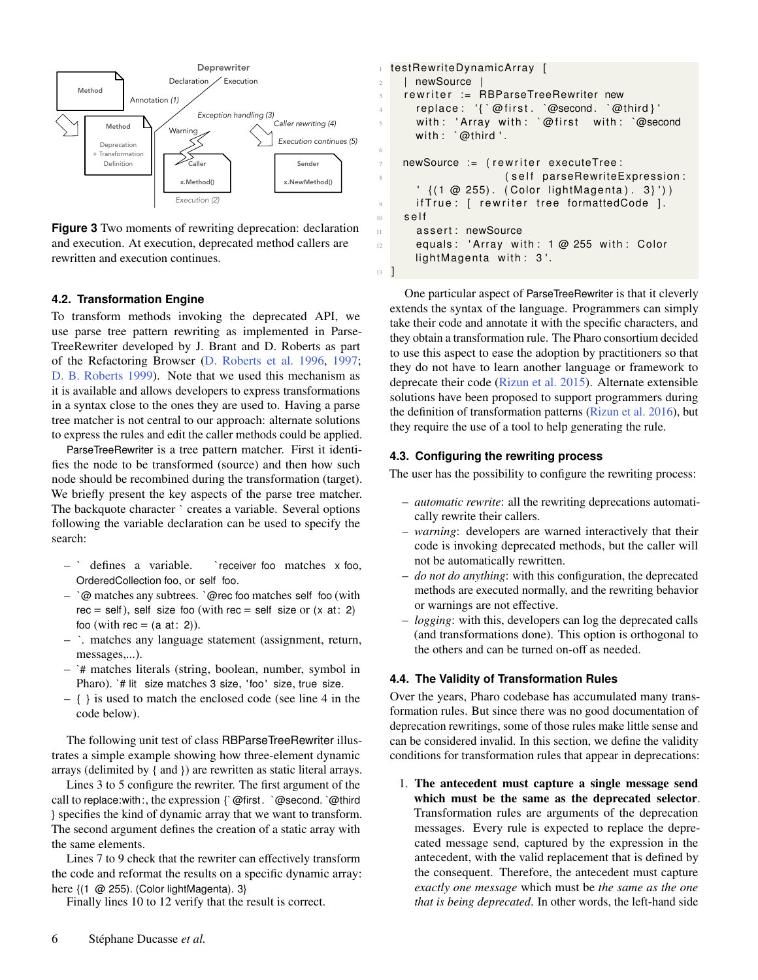<span id="page-5-1"></span>

**Figure 3** Two moments of rewriting deprecation: declaration and execution. At execution, deprecated method callers are rewritten and execution continues.

### **4.2. Transformation Engine**

To transform methods invoking the deprecated API, we use parse tree pattern rewriting as implemented in Parse-TreeRewriter developed by J. Brant and D. Roberts as part of the Refactoring Browser [\(D. Roberts et al.](#page-19-4) [1996,](#page-19-4) [1997;](#page-19-5) [D. B. Roberts](#page-19-15) [1999\)](#page-19-15). Note that we used this mechanism as it is available and allows developers to express transformations in a syntax close to the ones they are used to. Having a parse tree matcher is not central to our approach: alternate solutions to express the rules and edit the caller methods could be applied.

ParseTreeRewriter is a tree pattern matcher. First it identifies the node to be transformed (source) and then how such node should be recombined during the transformation (target). We briefly present the key aspects of the parse tree matcher. The backquote character ` creates a variable. Several options following the variable declaration can be used to specify the search:

- ` defines a variable. ` receiver foo matches x foo, OrderedCollection foo, or self foo.
- `@ matches any subtrees. `@rec foo matches self foo (with  $rec = self$ ), self size foo (with rec = self size or (x at: 2) foo (with rec =  $(a \text{ at: } 2)$ ).
- `. matches any language statement (assignment, return, messages,...).
- `# matches literals (string, boolean, number, symbol in Pharo). `# lit size matches 3 size, 'foo' size, true size.
- { } is used to match the enclosed code (see line 4 in the code below).

The following unit test of class RBParseTreeRewriter illustrates a simple example showing how three-element dynamic arrays (delimited by { and }) are rewritten as static literal arrays.

Lines 3 to 5 configure the rewriter. The first argument of the call to replace:with:, the expression {`@first. `@second. `@third } specifies the kind of dynamic array that we want to transform. The second argument defines the creation of a static array with the same elements.

Lines 7 to 9 check that the rewriter can effectively transform the code and reformat the results on a specific dynamic array: here {(1 @ 255). (Color lightMagenta). 3}

Finally lines 10 to 12 verify that the result is correct.

```
1 testRewriteDynamicArray [
2 | newSource
    r e writer := RBParseTreeRewriter new
4 replace: '{ `@first. `@second. `@third }'
      with: 'Array with: `@first with: `@second
      with : `@third '.
7 newSource := (rewriter executeTree:
8 ( self parseRewriteExpression :
      ' \{(1 \oslash 255). (Color lightMagenta). 3}'))
9 if True: [ rewriter tree formattedCode ].
10 self
11 assert: newSource
12 equals: 'Array with: 1 @ 255 with: Color
      lightMagenta with: 3'.
```
6

<sup>13</sup> ]

One particular aspect of ParseTreeRewriter is that it cleverly extends the syntax of the language. Programmers can simply take their code and annotate it with the specific characters, and they obtain a transformation rule. The Pharo consortium decided to use this aspect to ease the adoption by practitioners so that they do not have to learn another language or framework to deprecate their code [\(Rizun et al.](#page-19-17) [2015\)](#page-19-17). Alternate extensible solutions have been proposed to support programmers during the definition of transformation patterns [\(Rizun et al.](#page-19-18) [2016\)](#page-19-18), but they require the use of a tool to help generating the rule.

### <span id="page-5-0"></span>**4.3. Configuring the rewriting process**

The user has the possibility to configure the rewriting process:

- *automatic rewrite*: all the rewriting deprecations automatically rewrite their callers.
- *warning*: developers are warned interactively that their code is invoking deprecated methods, but the caller will not be automatically rewritten.
- *do not do anything*: with this configuration, the deprecated methods are executed normally, and the rewriting behavior or warnings are not effective.
- *logging*: with this, developers can log the deprecated calls (and transformations done). This option is orthogonal to the others and can be turned on-off as needed.

#### <span id="page-5-2"></span>**4.4. The Validity of Transformation Rules**

Over the years, Pharo codebase has accumulated many transformation rules. But since there was no good documentation of deprecation rewritings, some of those rules make little sense and can be considered invalid. In this section, we define the validity conditions for transformation rules that appear in deprecations:

1. The antecedent must capture a single message send which must be the same as the deprecated selector. Transformation rules are arguments of the deprecation messages. Every rule is expected to replace the deprecated message send, captured by the expression in the antecedent, with the valid replacement that is defined by the consequent. Therefore, the antecedent must capture *exactly one message* which must be *the same as the one that is being deprecated*. In other words, the left-hand side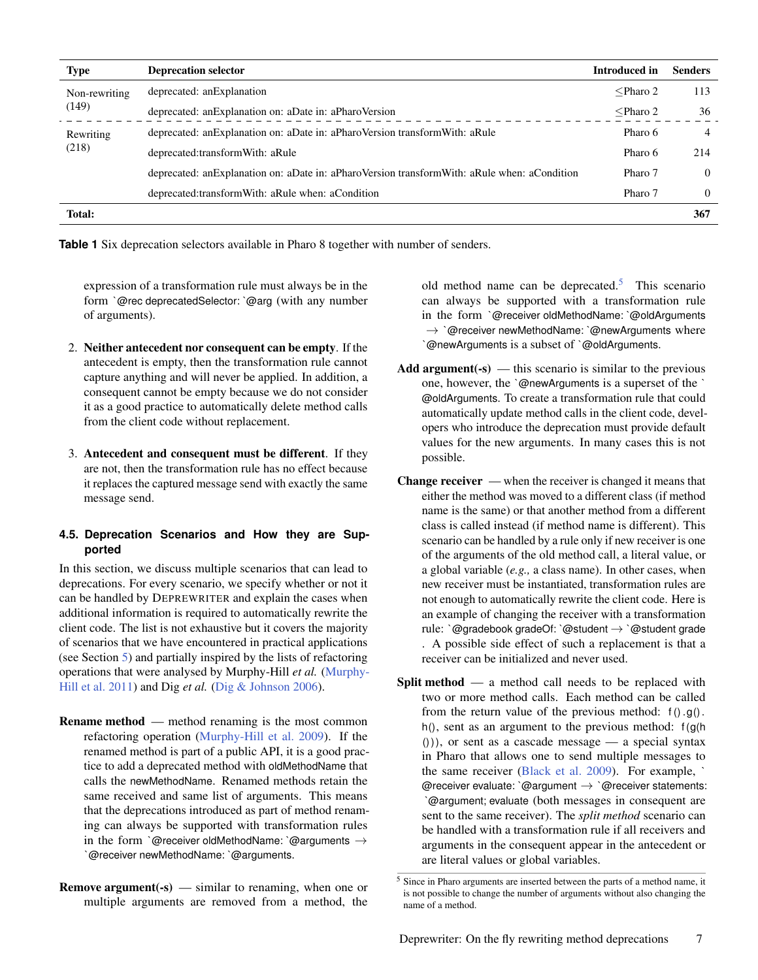<span id="page-6-0"></span>

| <b>Type</b>   | <b>Deprecation selector</b>                                                                   | <b>Introduced</b> in | <b>Senders</b> |
|---------------|-----------------------------------------------------------------------------------------------|----------------------|----------------|
| Non-rewriting | deprecated: an Explanation                                                                    | $\leq$ Pharo 2       | 113            |
| (149)         | deprecated: an Explanation on: a Date in: a Pharo Version                                     | $\leq$ Pharo 2       | 36             |
| Rewriting     | deprecated: an Explanation on: a Date in: a Pharo Version transform With: a Rule              | Pharo 6              | $\overline{4}$ |
| (218)         | deprecated:transformWith: aRule                                                               | Pharo 6              | 214            |
|               | deprecated: an Explanation on: aDate in: aPharoVersion transform With: aRule when: aCondition | Pharo 7              | $\Omega$       |
|               | deprecated:transformWith: aRule when: aCondition                                              | Pharo 7              | $\Omega$       |
| Total:        |                                                                                               |                      | 367            |

**Table 1** Six deprecation selectors available in Pharo 8 together with number of senders.

expression of a transformation rule must always be in the form `@rec deprecatedSelector: `@arg (with any number of arguments).

- 2. Neither antecedent nor consequent can be empty. If the antecedent is empty, then the transformation rule cannot capture anything and will never be applied. In addition, a consequent cannot be empty because we do not consider it as a good practice to automatically delete method calls from the client code without replacement.
- 3. Antecedent and consequent must be different. If they are not, then the transformation rule has no effect because it replaces the captured message send with exactly the same message send.

## <span id="page-6-1"></span>**4.5. Deprecation Scenarios and How they are Supported**

In this section, we discuss multiple scenarios that can lead to deprecations. For every scenario, we specify whether or not it can be handled by DEPREWRITER and explain the cases when additional information is required to automatically rewrite the client code. The list is not exhaustive but it covers the majority of scenarios that we have encountered in practical applications (see Section [5\)](#page-7-0) and partially inspired by the lists of refactoring operations that were analysed by Murphy-Hill *et al.* [\(Murphy-](#page-19-19)[Hill et al.](#page-19-19) [2011\)](#page-19-19) and Dig et al. [\(Dig & Johnson](#page-18-11) [2006\)](#page-18-11).

- Rename method method renaming is the most common refactoring operation [\(Murphy-Hill et al.](#page-19-20) [2009\)](#page-19-20). If the renamed method is part of a public API, it is a good practice to add a deprecated method with oldMethodName that calls the newMethodName. Renamed methods retain the same received and same list of arguments. This means that the deprecations introduced as part of method renaming can always be supported with transformation rules in the form `@receiver oldMethodName: `@arguments  $\rightarrow$ `@receiver newMethodName: `@arguments.
- **Remove argument**( $\text{-s}$ ) similar to renaming, when one or multiple arguments are removed from a method, the

old method name can be deprecated.<sup>[5](#page-0-0)</sup> This scenario can always be supported with a transformation rule in the form `@receiver oldMethodName: `@oldArguments  $\rightarrow$  `@receiver newMethodName: `@newArguments where `@newArguments is a subset of `@oldArguments.

- Add argument( $-s$ ) this scenario is similar to the previous one, however, the `@newArguments is a superset of the ` @oldArguments. To create a transformation rule that could automatically update method calls in the client code, developers who introduce the deprecation must provide default values for the new arguments. In many cases this is not possible.
- Change receiver when the receiver is changed it means that either the method was moved to a different class (if method name is the same) or that another method from a different class is called instead (if method name is different). This scenario can be handled by a rule only if new receiver is one of the arguments of the old method call, a literal value, or a global variable (*e.g.,* a class name). In other cases, when new receiver must be instantiated, transformation rules are not enough to automatically rewrite the client code. Here is an example of changing the receiver with a transformation rule: `@gradebook gradeOf: `@student  $\rightarrow$  `@student grade . A possible side effect of such a replacement is that a receiver can be initialized and never used.
- Split method a method call needs to be replaced with two or more method calls. Each method can be called from the return value of the previous method:  $f() .g()$ . h(), sent as an argument to the previous method:  $f(g(h))$  $($ )), or sent as a cascade message — a special syntax in Pharo that allows one to send multiple messages to the same receiver [\(Black et al.](#page-18-8) [2009\)](#page-18-8). For example, ` @receiver evaluate: `@argument  $\rightarrow$  `@receiver statements: `@argument; evaluate (both messages in consequent are sent to the same receiver). The *split method* scenario can be handled with a transformation rule if all receivers and arguments in the consequent appear in the antecedent or are literal values or global variables.

<sup>5</sup> Since in Pharo arguments are inserted between the parts of a method name, it is not possible to change the number of arguments without also changing the name of a method.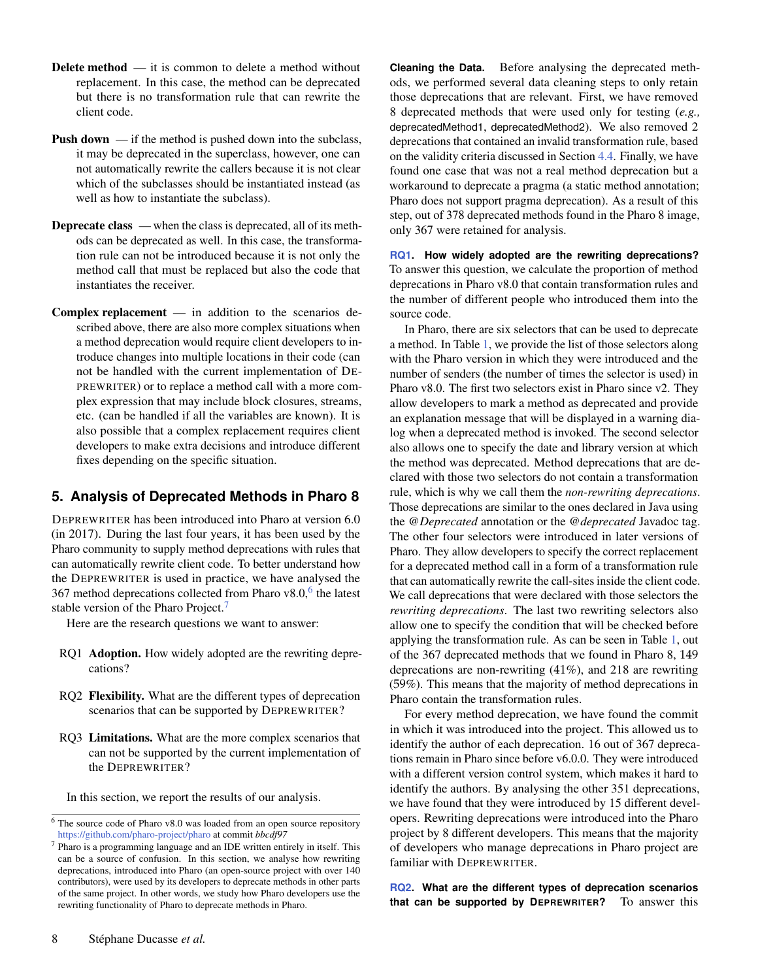- Delete method it is common to delete a method without replacement. In this case, the method can be deprecated but there is no transformation rule that can rewrite the client code.
- **Push down** if the method is pushed down into the subclass, it may be deprecated in the superclass, however, one can not automatically rewrite the callers because it is not clear which of the subclasses should be instantiated instead (as well as how to instantiate the subclass).
- Deprecate class when the class is deprecated, all of its methods can be deprecated as well. In this case, the transformation rule can not be introduced because it is not only the method call that must be replaced but also the code that instantiates the receiver.
- Complex replacement in addition to the scenarios described above, there are also more complex situations when a method deprecation would require client developers to introduce changes into multiple locations in their code (can not be handled with the current implementation of DE-PREWRITER) or to replace a method call with a more complex expression that may include block closures, streams, etc. (can be handled if all the variables are known). It is also possible that a complex replacement requires client developers to make extra decisions and introduce different fixes depending on the specific situation.

# <span id="page-7-0"></span>**5. Analysis of Deprecated Methods in Pharo 8**

DEPREWRITER has been introduced into Pharo at version 6.0 (in 2017). During the last four years, it has been used by the Pharo community to supply method deprecations with rules that can automatically rewrite client code. To better understand how the DEPREWRITER is used in practice, we have analysed the 3[6](#page-0-0)7 method deprecations collected from Pharo  $v8.0$ , the latest stable version of the Pharo Project.<sup>[7](#page-0-0)</sup>

Here are the research questions we want to answer:

- <span id="page-7-1"></span>RQ1 Adoption. How widely adopted are the rewriting deprecations?
- <span id="page-7-2"></span>RQ2 Flexibility. What are the different types of deprecation scenarios that can be supported by DEPREWRITER?
- <span id="page-7-3"></span>RQ3 Limitations. What are the more complex scenarios that can not be supported by the current implementation of the DEPREWRITER?

In this section, we report the results of our analysis.

**Cleaning the Data.** Before analysing the deprecated methods, we performed several data cleaning steps to only retain those deprecations that are relevant. First, we have removed 8 deprecated methods that were used only for testing (*e.g.,* deprecatedMethod1, deprecatedMethod2). We also removed 2 deprecations that contained an invalid transformation rule, based on the validity criteria discussed in Section [4.4.](#page-5-2) Finally, we have found one case that was not a real method deprecation but a workaround to deprecate a pragma (a static method annotation; Pharo does not support pragma deprecation). As a result of this step, out of 378 deprecated methods found in the Pharo 8 image, only 367 were retained for analysis.

**[RQ1.](#page-7-1) How widely adopted are the rewriting deprecations?** To answer this question, we calculate the proportion of method deprecations in Pharo v8.0 that contain transformation rules and the number of different people who introduced them into the source code.

In Pharo, there are six selectors that can be used to deprecate a method. In Table [1,](#page-6-0) we provide the list of those selectors along with the Pharo version in which they were introduced and the number of senders (the number of times the selector is used) in Pharo v8.0. The first two selectors exist in Pharo since v2. They allow developers to mark a method as deprecated and provide an explanation message that will be displayed in a warning dialog when a deprecated method is invoked. The second selector also allows one to specify the date and library version at which the method was deprecated. Method deprecations that are declared with those two selectors do not contain a transformation rule, which is why we call them the *non-rewriting deprecations*. Those deprecations are similar to the ones declared in Java using the *@Deprecated* annotation or the *@deprecated* Javadoc tag. The other four selectors were introduced in later versions of Pharo. They allow developers to specify the correct replacement for a deprecated method call in a form of a transformation rule that can automatically rewrite the call-sites inside the client code. We call deprecations that were declared with those selectors the *rewriting deprecations*. The last two rewriting selectors also allow one to specify the condition that will be checked before applying the transformation rule. As can be seen in Table [1,](#page-6-0) out of the 367 deprecated methods that we found in Pharo 8, 149 deprecations are non-rewriting (41%), and 218 are rewriting (59%). This means that the majority of method deprecations in Pharo contain the transformation rules.

For every method deprecation, we have found the commit in which it was introduced into the project. This allowed us to identify the author of each deprecation. 16 out of 367 deprecations remain in Pharo since before v6.0.0. They were introduced with a different version control system, which makes it hard to identify the authors. By analysing the other 351 deprecations, we have found that they were introduced by 15 different developers. Rewriting deprecations were introduced into the Pharo project by 8 different developers. This means that the majority of developers who manage deprecations in Pharo project are familiar with DEPREWRITER.

**[RQ2.](#page-7-2) What are the different types of deprecation scenarios that can be supported by DEPREWRITER?** To answer this

<sup>6</sup> The source code of Pharo v8.0 was loaded from an open source repository <https://github.com/pharo-project/pharo> at commit *bbcdf97*

<sup>7</sup> Pharo is a programming language and an IDE written entirely in itself. This can be a source of confusion. In this section, we analyse how rewriting deprecations, introduced into Pharo (an open-source project with over 140 contributors), were used by its developers to deprecate methods in other parts of the same project. In other words, we study how Pharo developers use the rewriting functionality of Pharo to deprecate methods in Pharo.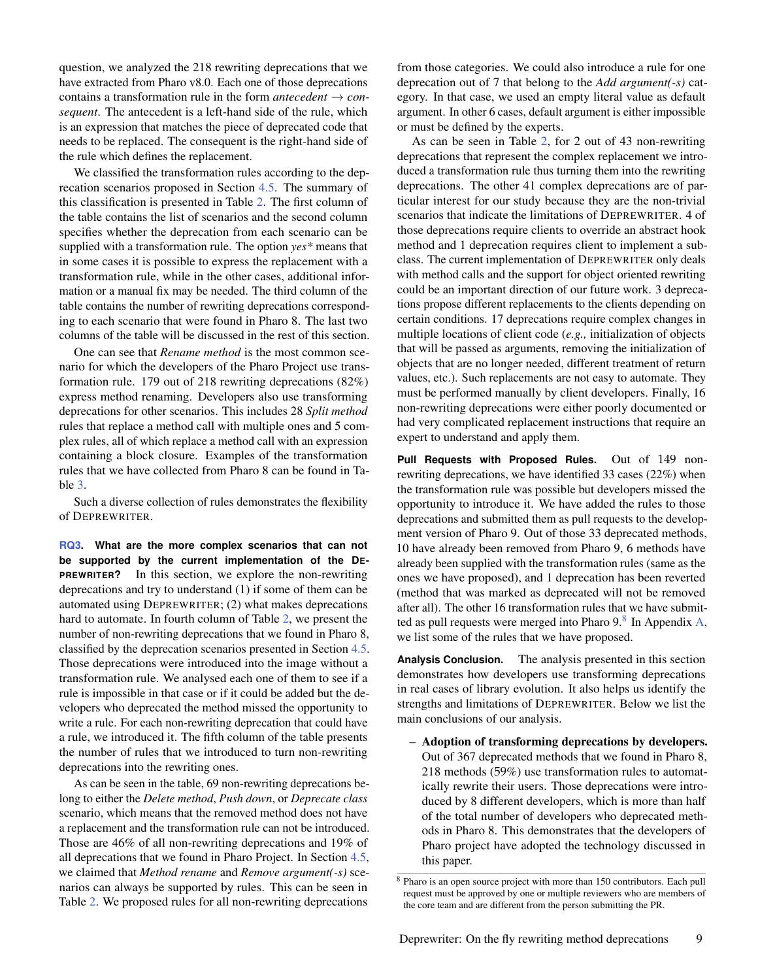question, we analyzed the 218 rewriting deprecations that we have extracted from Pharo v8.0. Each one of those deprecations contains a transformation rule in the form *antecedent*  $\rightarrow$  *consequent*. The antecedent is a left-hand side of the rule, which is an expression that matches the piece of deprecated code that needs to be replaced. The consequent is the right-hand side of the rule which defines the replacement.

We classified the transformation rules according to the deprecation scenarios proposed in Section [4.5.](#page-6-1) The summary of this classification is presented in Table [2.](#page-9-1) The first column of the table contains the list of scenarios and the second column specifies whether the deprecation from each scenario can be supplied with a transformation rule. The option *yes\** means that in some cases it is possible to express the replacement with a transformation rule, while in the other cases, additional information or a manual fix may be needed. The third column of the table contains the number of rewriting deprecations corresponding to each scenario that were found in Pharo 8. The last two columns of the table will be discussed in the rest of this section.

One can see that *Rename method* is the most common scenario for which the developers of the Pharo Project use transformation rule. 179 out of 218 rewriting deprecations (82%) express method renaming. Developers also use transforming deprecations for other scenarios. This includes 28 *Split method* rules that replace a method call with multiple ones and 5 complex rules, all of which replace a method call with an expression containing a block closure. Examples of the transformation rules that we have collected from Pharo 8 can be found in Table [3.](#page-10-0)

Such a diverse collection of rules demonstrates the flexibility of DEPREWRITER.

**[RQ3.](#page-7-3) What are the more complex scenarios that can not be supported by the current implementation of the DE-PREWRITER?** In this section, we explore the non-rewriting deprecations and try to understand (1) if some of them can be automated using DEPREWRITER; (2) what makes deprecations hard to automate. In fourth column of Table [2,](#page-9-1) we present the number of non-rewriting deprecations that we found in Pharo 8, classified by the deprecation scenarios presented in Section [4.5.](#page-6-1) Those deprecations were introduced into the image without a transformation rule. We analysed each one of them to see if a rule is impossible in that case or if it could be added but the developers who deprecated the method missed the opportunity to write a rule. For each non-rewriting deprecation that could have a rule, we introduced it. The fifth column of the table presents the number of rules that we introduced to turn non-rewriting deprecations into the rewriting ones.

As can be seen in the table, 69 non-rewriting deprecations belong to either the *Delete method*, *Push down*, or *Deprecate class* scenario, which means that the removed method does not have a replacement and the transformation rule can not be introduced. Those are 46% of all non-rewriting deprecations and 19% of all deprecations that we found in Pharo Project. In Section [4.5,](#page-6-1) we claimed that *Method rename* and *Remove argument(-s)* scenarios can always be supported by rules. This can be seen in Table [2.](#page-9-1) We proposed rules for all non-rewriting deprecations

from those categories. We could also introduce a rule for one deprecation out of 7 that belong to the *Add argument(-s)* category. In that case, we used an empty literal value as default argument. In other 6 cases, default argument is either impossible or must be defined by the experts.

As can be seen in Table [2,](#page-9-1) for 2 out of 43 non-rewriting deprecations that represent the complex replacement we introduced a transformation rule thus turning them into the rewriting deprecations. The other 41 complex deprecations are of particular interest for our study because they are the non-trivial scenarios that indicate the limitations of DEPREWRITER. 4 of those deprecations require clients to override an abstract hook method and 1 deprecation requires client to implement a subclass. The current implementation of DEPREWRITER only deals with method calls and the support for object oriented rewriting could be an important direction of our future work. 3 deprecations propose different replacements to the clients depending on certain conditions. 17 deprecations require complex changes in multiple locations of client code (*e.g.,* initialization of objects that will be passed as arguments, removing the initialization of objects that are no longer needed, different treatment of return values, etc.). Such replacements are not easy to automate. They must be performed manually by client developers. Finally, 16 non-rewriting deprecations were either poorly documented or had very complicated replacement instructions that require an expert to understand and apply them.

**Pull Requests with Proposed Rules.** Out of 149 nonrewriting deprecations, we have identified 33 cases (22%) when the transformation rule was possible but developers missed the opportunity to introduce it. We have added the rules to those deprecations and submitted them as pull requests to the development version of Pharo 9. Out of those 33 deprecated methods, 10 have already been removed from Pharo 9, 6 methods have already been supplied with the transformation rules (same as the ones we have proposed), and 1 deprecation has been reverted (method that was marked as deprecated will not be removed after all). The other 16 transformation rules that we have submitted as pull requests were merged into Pharo  $9.8$  $9.8$  In Appendix [A,](#page-21-0) we list some of the rules that we have proposed.

**Analysis Conclusion.** The analysis presented in this section demonstrates how developers use transforming deprecations in real cases of library evolution. It also helps us identify the strengths and limitations of DEPREWRITER. Below we list the main conclusions of our analysis.

– Adoption of transforming deprecations by developers. Out of 367 deprecated methods that we found in Pharo 8, 218 methods (59%) use transformation rules to automatically rewrite their users. Those deprecations were introduced by 8 different developers, which is more than half of the total number of developers who deprecated methods in Pharo 8. This demonstrates that the developers of Pharo project have adopted the technology discussed in this paper.

<sup>8</sup> Pharo is an open source project with more than 150 contributors. Each pull request must be approved by one or multiple reviewers who are members of the core team and are different from the person submitting the PR.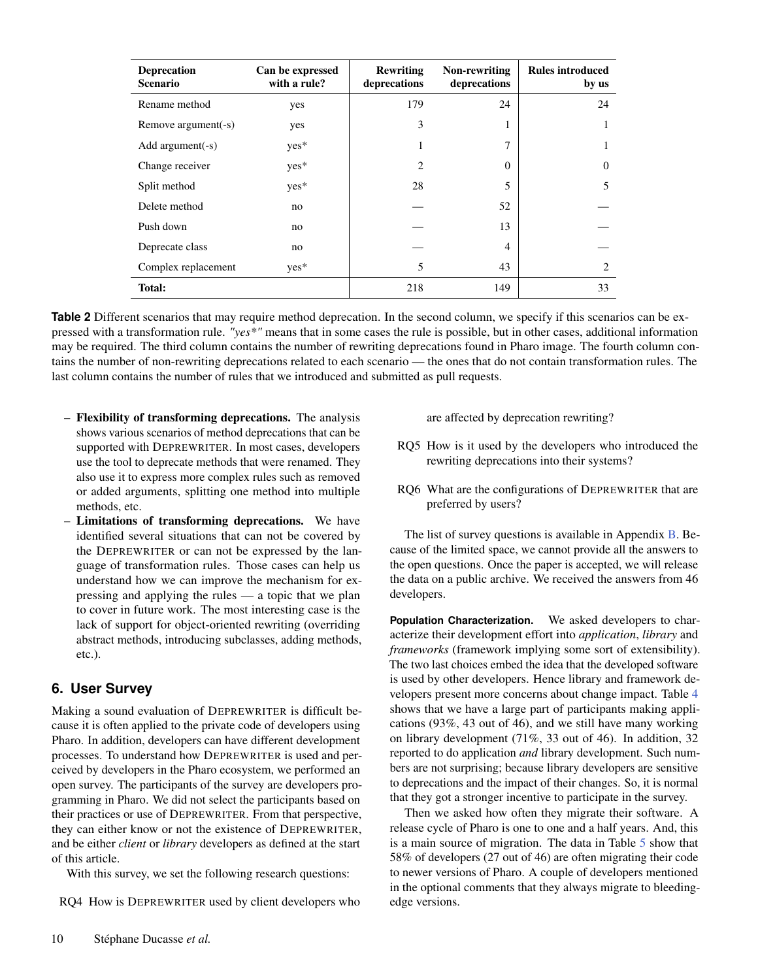<span id="page-9-1"></span>

| <b>Deprecation</b><br><b>Scenario</b> | Can be expressed<br>with a rule? | <b>Rewriting</b><br>deprecations | Non-rewriting<br>deprecations | <b>Rules introduced</b><br>by us |
|---------------------------------------|----------------------------------|----------------------------------|-------------------------------|----------------------------------|
| Rename method                         | yes                              | 179                              | 24                            | 24                               |
| Remove argument(-s)                   | yes                              | 3                                | 1                             |                                  |
| Add argument $(-s)$                   | $yes*$                           | 1                                | 7                             |                                  |
| Change receiver                       | $yes*$                           | 2                                | $\Omega$                      | $\theta$                         |
| Split method                          | $yes*$                           | 28                               | 5                             | 5                                |
| Delete method                         | no                               |                                  | 52                            |                                  |
| Push down                             | no                               |                                  | 13                            |                                  |
| Deprecate class                       | no                               |                                  | 4                             |                                  |
| Complex replacement                   | $yes*$                           | 5                                | 43                            | 2                                |
| Total:                                |                                  | 218                              | 149                           | 33                               |

**Table 2** Different scenarios that may require method deprecation. In the second column, we specify if this scenarios can be expressed with a transformation rule. *"yes\*"* means that in some cases the rule is possible, but in other cases, additional information may be required. The third column contains the number of rewriting deprecations found in Pharo image. The fourth column contains the number of non-rewriting deprecations related to each scenario — the ones that do not contain transformation rules. The last column contains the number of rules that we introduced and submitted as pull requests.

- Flexibility of transforming deprecations. The analysis shows various scenarios of method deprecations that can be supported with DEPREWRITER. In most cases, developers use the tool to deprecate methods that were renamed. They also use it to express more complex rules such as removed or added arguments, splitting one method into multiple methods, etc.
- Limitations of transforming deprecations. We have identified several situations that can not be covered by the DEPREWRITER or can not be expressed by the language of transformation rules. Those cases can help us understand how we can improve the mechanism for expressing and applying the rules — a topic that we plan to cover in future work. The most interesting case is the lack of support for object-oriented rewriting (overriding abstract methods, introducing subclasses, adding methods, etc.).

# <span id="page-9-0"></span>**6. User Survey**

Making a sound evaluation of DEPREWRITER is difficult because it is often applied to the private code of developers using Pharo. In addition, developers can have different development processes. To understand how DEPREWRITER is used and perceived by developers in the Pharo ecosystem, we performed an open survey. The participants of the survey are developers programming in Pharo. We did not select the participants based on their practices or use of DEPREWRITER. From that perspective, they can either know or not the existence of DEPREWRITER, and be either *client* or *library* developers as defined at the start of this article.

With this survey, we set the following research questions:

<span id="page-9-2"></span>RQ4 How is DEPREWRITER used by client developers who

are affected by deprecation rewriting?

- <span id="page-9-3"></span>RQ5 How is it used by the developers who introduced the rewriting deprecations into their systems?
- <span id="page-9-4"></span>RQ6 What are the configurations of DEPREWRITER that are preferred by users?

The list of survey questions is available in Appendix [B.](#page-21-1) Because of the limited space, we cannot provide all the answers to the open questions. Once the paper is accepted, we will release the data on a public archive. We received the answers from 46 developers.

**Population Characterization.** We asked developers to characterize their development effort into *application*, *library* and *frameworks* (framework implying some sort of extensibility). The two last choices embed the idea that the developed software is used by other developers. Hence library and framework developers present more concerns about change impact. Table [4](#page-10-1) shows that we have a large part of participants making applications (93%, 43 out of 46), and we still have many working on library development (71%, 33 out of 46). In addition, 32 reported to do application *and* library development. Such numbers are not surprising; because library developers are sensitive to deprecations and the impact of their changes. So, it is normal that they got a stronger incentive to participate in the survey.

Then we asked how often they migrate their software. A release cycle of Pharo is one to one and a half years. And, this is a main source of migration. The data in Table [5](#page-10-2) show that 58% of developers (27 out of 46) are often migrating their code to newer versions of Pharo. A couple of developers mentioned in the optional comments that they always migrate to bleedingedge versions.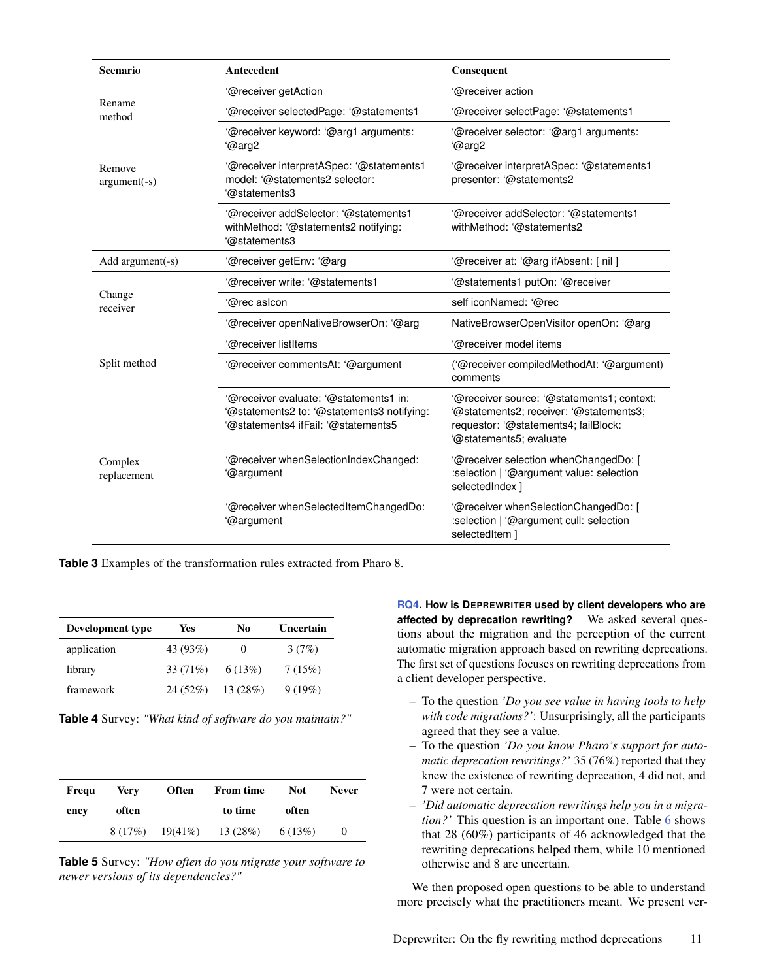<span id="page-10-0"></span>

| <b>Scenario</b>          | Antecedent                                                                                                                  | Consequent                                                                                                                                              |
|--------------------------|-----------------------------------------------------------------------------------------------------------------------------|---------------------------------------------------------------------------------------------------------------------------------------------------------|
|                          | '@receiver getAction                                                                                                        | @receiver action                                                                                                                                        |
| Rename<br>method         | '@receiver selectedPage: '@statements1                                                                                      | '@receiver selectPage: '@statements1                                                                                                                    |
|                          | @receiver keyword: '@arg1 arguments:<br>'@arg2                                                                              | '@receiver selector: '@arg1 arguments:<br>'@arg2                                                                                                        |
| Remove<br>$argument(-s)$ | '@receiver interpretASpec: '@statements1<br>model: '@statements2 selector:<br>'@statements3                                 | '@receiver interpretASpec: '@statements1<br>presenter: '@statements2                                                                                    |
|                          | '@receiver addSelector: '@statements1<br>withMethod: '@statements2 notifying:<br>'@statements3                              | '@receiver addSelector: '@statements1<br>withMethod: '@statements2                                                                                      |
| Add $argument(-s)$       | @receiver getEnv: '@arg'                                                                                                    | '@receiver at: '@arg ifAbsent: [ nil ]                                                                                                                  |
|                          | '@receiver write: '@statements1                                                                                             | '@statements1 putOn: '@receiver                                                                                                                         |
| Change<br>receiver       | '@rec asicon                                                                                                                | self iconNamed: '@rec                                                                                                                                   |
|                          | '@receiver openNativeBrowserOn: '@arg                                                                                       | NativeBrowserOpenVisitor openOn: '@arg                                                                                                                  |
|                          | '@receiver listItems                                                                                                        | '@receiver model items                                                                                                                                  |
| Split method             | '@receiver commentsAt: '@argument                                                                                           | ('@receiver compiledMethodAt: '@argument)<br>comments                                                                                                   |
|                          | '@receiver evaluate: '@statements1 in:<br>'@statements2 to: '@statements3 notifying:<br>'@statements4 ifFail: '@statements5 | '@receiver source: '@statements1; context:<br>'@statements2; receiver: '@statements3;<br>requestor: '@statements4; failBlock:<br>@statements5; evaluate |
| Complex<br>replacement   | '@receiver whenSelectionIndexChanged:<br>'@argument                                                                         | '@receiver selection whenChangedDo: [<br>:selection   '@argument value: selection<br>selectedIndex 1                                                    |
|                          | '@receiver whenSelectedItemChangedDo:<br>'@argument                                                                         | '@receiver whenSelectionChangedDo: [<br>:selection   '@argument cull: selection<br>selectedItem 1                                                       |

**Table 3** Examples of the transformation rules extracted from Pharo 8.

<span id="page-10-1"></span>

| Development type | Yes       | No      | Uncertain |
|------------------|-----------|---------|-----------|
| application      | 43 (93%)  | 0       | 3(7%)     |
| library          | 33 (71\%) | 6(13%)  | 7(15%)    |
| framework        | 24 (52%)  | 13(28%) | 9(19%)    |

**Table 4** Survey: *"What kind of software do you maintain?"*

<span id="page-10-2"></span>

| Frequ | Verv  | <b>Often</b>         | <b>From time</b> | <b>Not</b> | <b>Never</b> |
|-------|-------|----------------------|------------------|------------|--------------|
| ency  | often |                      | to time          | often      |              |
|       |       | $8(17\%)$ $19(41\%)$ | 13(28%)          | 6 (13%)    | 0            |

**Table 5** Survey: *"How often do you migrate your software to newer versions of its dependencies?"*

**[RQ4.](#page-9-2) How is DEPREWRITER used by client developers who are affected by deprecation rewriting?** We asked several questions about the migration and the perception of the current automatic migration approach based on rewriting deprecations. The first set of questions focuses on rewriting deprecations from a client developer perspective.

- To the question *'Do you see value in having tools to help with code migrations?'*: Unsurprisingly, all the participants agreed that they see a value.
- To the question *'Do you know Pharo's support for automatic deprecation rewritings?'* 35 (76%) reported that they knew the existence of rewriting deprecation, 4 did not, and 7 were not certain.
- *'Did automatic deprecation rewritings help you in a migration?'* This question is an important one. Table [6](#page-11-0) shows that 28 (60%) participants of 46 acknowledged that the rewriting deprecations helped them, while 10 mentioned otherwise and 8 are uncertain.

We then proposed open questions to be able to understand more precisely what the practitioners meant. We present ver-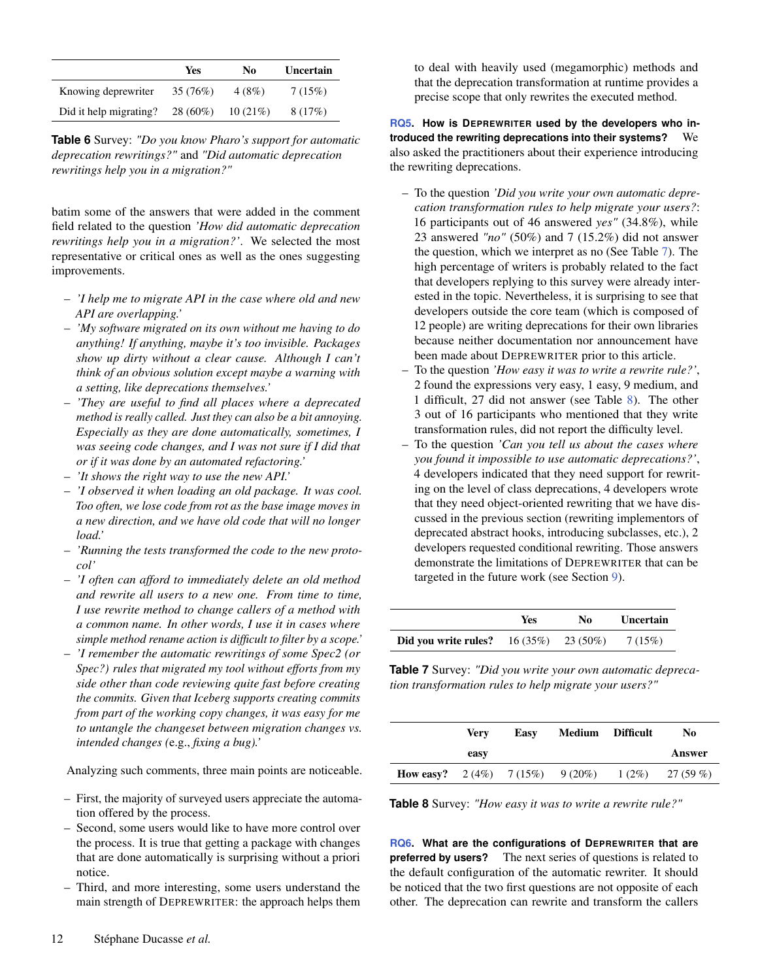<span id="page-11-0"></span>

|                        | Yes        | No      | Uncertain |
|------------------------|------------|---------|-----------|
| Knowing deprewriter    | 35 (76%)   | 4(8%)   | 7(15%)    |
| Did it help migrating? | $28(60\%)$ | 10(21%) | 8(17%)    |

**Table 6** Survey: *"Do you know Pharo's support for automatic deprecation rewritings?"* and *"Did automatic deprecation rewritings help you in a migration?"*

batim some of the answers that were added in the comment field related to the question *'How did automatic deprecation rewritings help you in a migration?'*. We selected the most representative or critical ones as well as the ones suggesting improvements.

- *'I help me to migrate API in the case where old and new API are overlapping.'*
- *'My software migrated on its own without me having to do anything! If anything, maybe it's too invisible. Packages show up dirty without a clear cause. Although I can't think of an obvious solution except maybe a warning with a setting, like deprecations themselves.'*
- *'They are useful to find all places where a deprecated method is really called. Just they can also be a bit annoying. Especially as they are done automatically, sometimes, I was seeing code changes, and I was not sure if I did that or if it was done by an automated refactoring.'*
- *'It shows the right way to use the new API.'*
- *'I observed it when loading an old package. It was cool. Too often, we lose code from rot as the base image moves in a new direction, and we have old code that will no longer load.'*
- *'Running the tests transformed the code to the new protocol'*
- *'I often can afford to immediately delete an old method and rewrite all users to a new one. From time to time, I use rewrite method to change callers of a method with a common name. In other words, I use it in cases where simple method rename action is difficult to filter by a scope.'*
- *'I remember the automatic rewritings of some Spec2 (or Spec?) rules that migrated my tool without efforts from my side other than code reviewing quite fast before creating the commits. Given that Iceberg supports creating commits from part of the working copy changes, it was easy for me to untangle the changeset between migration changes vs. intended changes (*e.g., *fixing a bug).'*

Analyzing such comments, three main points are noticeable.

- First, the majority of surveyed users appreciate the automation offered by the process.
- Second, some users would like to have more control over the process. It is true that getting a package with changes that are done automatically is surprising without a priori notice.
- Third, and more interesting, some users understand the main strength of DEPREWRITER: the approach helps them

to deal with heavily used (megamorphic) methods and that the deprecation transformation at runtime provides a precise scope that only rewrites the executed method.

**[RQ5.](#page-9-3) How is DEPREWRITER used by the developers who introduced the rewriting deprecations into their systems?** We also asked the practitioners about their experience introducing the rewriting deprecations.

- To the question *'Did you write your own automatic deprecation transformation rules to help migrate your users?*: 16 participants out of 46 answered *yes"* (34.8%), while 23 answered *"no"* (50%) and 7 (15.2%) did not answer the question, which we interpret as no (See Table [7\)](#page-11-1). The high percentage of writers is probably related to the fact that developers replying to this survey were already interested in the topic. Nevertheless, it is surprising to see that developers outside the core team (which is composed of 12 people) are writing deprecations for their own libraries because neither documentation nor announcement have been made about DEPREWRITER prior to this article.
- To the question *'How easy it was to write a rewrite rule?'*, 2 found the expressions very easy, 1 easy, 9 medium, and 1 difficult, 27 did not answer (see Table [8\)](#page-11-2). The other 3 out of 16 participants who mentioned that they write transformation rules, did not report the difficulty level.
- To the question *'Can you tell us about the cases where you found it impossible to use automatic deprecations?'*, 4 developers indicated that they need support for rewriting on the level of class deprecations, 4 developers wrote that they need object-oriented rewriting that we have discussed in the previous section (rewriting implementors of deprecated abstract hooks, introducing subclasses, etc.), 2 developers requested conditional rewriting. Those answers demonstrate the limitations of DEPREWRITER that can be targeted in the future work (see Section [9\)](#page-14-0).

<span id="page-11-1"></span>

|                                                  | Yes | No. | <b>Uncertain</b> |
|--------------------------------------------------|-----|-----|------------------|
| <b>Did you write rules?</b> $16 (35\%)$ 23 (50%) |     |     | 7 (15%)          |

**Table 7** Survey: *"Did you write your own automatic deprecation transformation rules to help migrate your users?"*

<span id="page-11-2"></span>

|                                                        | Verv | Easy | <b>Medium</b> Difficult | No        |
|--------------------------------------------------------|------|------|-------------------------|-----------|
|                                                        | easy |      |                         | Answer    |
| <b>How easy?</b> $2(4\%)$ $7(15\%)$ $9(20\%)$ $1(2\%)$ |      |      |                         | 27 (59 %) |

**Table 8** Survey: *"How easy it was to write a rewrite rule?"*

**[RQ6.](#page-9-4) What are the configurations of DEPREWRITER that are preferred by users?** The next series of questions is related to the default configuration of the automatic rewriter. It should be noticed that the two first questions are not opposite of each other. The deprecation can rewrite and transform the callers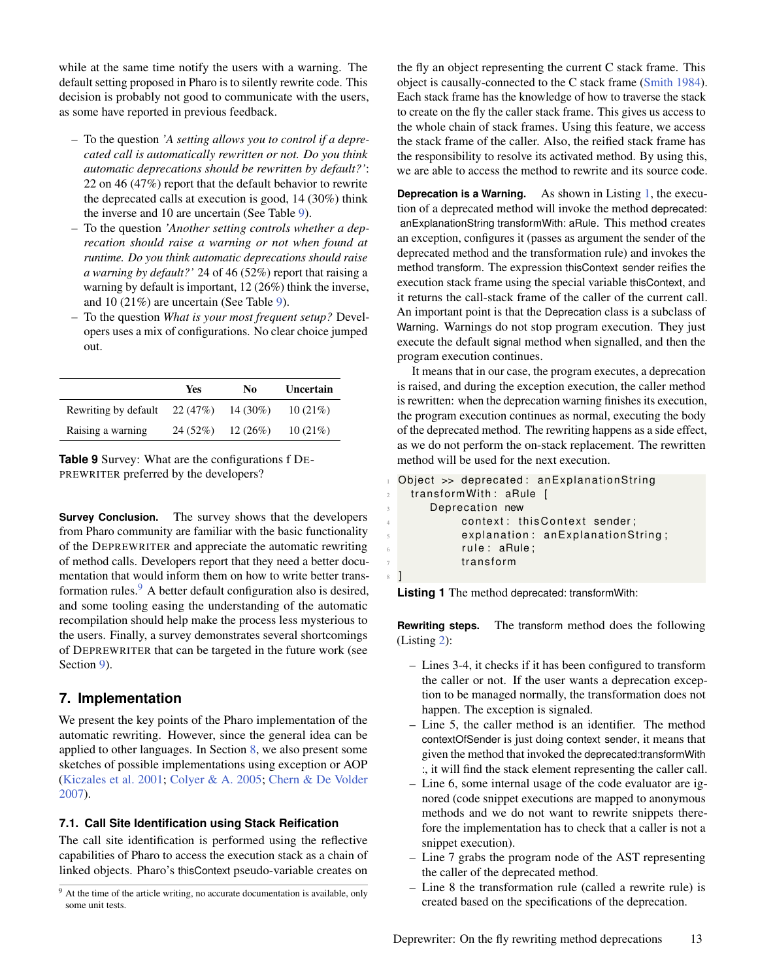while at the same time notify the users with a warning. The default setting proposed in Pharo is to silently rewrite code. This decision is probably not good to communicate with the users, as some have reported in previous feedback.

- To the question *'A setting allows you to control if a deprecated call is automatically rewritten or not. Do you think automatic deprecations should be rewritten by default?'*: 22 on 46 (47%) report that the default behavior to rewrite the deprecated calls at execution is good, 14 (30%) think the inverse and 10 are uncertain (See Table [9\)](#page-12-2).
- To the question *'Another setting controls whether a deprecation should raise a warning or not when found at runtime. Do you think automatic deprecations should raise a warning by default?'* 24 of 46 (52%) report that raising a warning by default is important, 12 (26%) think the inverse, and 10 (21%) are uncertain (See Table [9\)](#page-12-2).
- To the question *What is your most frequent setup?* Developers uses a mix of configurations. No clear choice jumped out.

<span id="page-12-2"></span>

|                      | Yes      | No          | Uncertain |
|----------------------|----------|-------------|-----------|
| Rewriting by default | 22 (47%) | 14 $(30\%)$ | 10(21%)   |
| Raising a warning    | 24 (52%) | 12(26%)     | 10(21%)   |

**Table 9** Survey: What are the configurations f DE-PREWRITER preferred by the developers?

**Survey Conclusion.** The survey shows that the developers from Pharo community are familiar with the basic functionality of the DEPREWRITER and appreciate the automatic rewriting of method calls. Developers report that they need a better documentation that would inform them on how to write better transformation rules. $9$  A better default configuration also is desired, and some tooling easing the understanding of the automatic recompilation should help make the process less mysterious to the users. Finally, a survey demonstrates several shortcomings of DEPREWRITER that can be targeted in the future work (see Section [9\)](#page-14-0).

# <span id="page-12-0"></span>**7. Implementation**

We present the key points of the Pharo implementation of the automatic rewriting. However, since the general idea can be applied to other languages. In Section [8,](#page-13-0) we also present some sketches of possible implementations using exception or AOP [\(Kiczales et al.](#page-18-12) [2001;](#page-18-12) [Colyer & A.](#page-18-13) [2005;](#page-18-13) [Chern & De Volder](#page-18-14) [2007\)](#page-18-14).

## <span id="page-12-1"></span>**7.1. Call Site Identification using Stack Reification**

The call site identification is performed using the reflective capabilities of Pharo to access the execution stack as a chain of linked objects. Pharo's thisContext pseudo-variable creates on the fly an object representing the current C stack frame. This object is causally-connected to the C stack frame [\(Smith](#page-20-5) [1984\)](#page-20-5). Each stack frame has the knowledge of how to traverse the stack to create on the fly the caller stack frame. This gives us access to the whole chain of stack frames. Using this feature, we access the stack frame of the caller. Also, the reified stack frame has the responsibility to resolve its activated method. By using this, we are able to access the method to rewrite and its source code.

**Deprecation is a Warning.** As shown in Listing [1,](#page-12-3) the execution of a deprecated method will invoke the method deprecated: anExplanationString transformWith: aRule. This method creates an exception, configures it (passes as argument the sender of the deprecated method and the transformation rule) and invokes the method transform. The expression thisContext sender reifies the execution stack frame using the special variable thisContext, and it returns the call-stack frame of the caller of the current call. An important point is that the Deprecation class is a subclass of Warning. Warnings do not stop program execution. They just execute the default signal method when signalled, and then the program execution continues.

It means that in our case, the program executes, a deprecation is raised, and during the exception execution, the caller method is rewritten: when the deprecation warning finishes its execution, the program execution continues as normal, executing the body of the deprecated method. The rewriting happens as a side effect, as we do not perform the on-stack replacement. The rewritten method will be used for the next execution.

```
Object >> deprecated: anExplanationString
   transformWith: aRule [
       Deprecation new
            context: this Context sender;
\mathfrak s explanation: anExplanationString;
\delta rule: aRule;
            transform
 \mathbf l
```
**Listing 1** The method deprecated: transformWith:

**Rewriting steps.** The transform method does the following (Listing [2\)](#page-13-1):

- Lines 3-4, it checks if it has been configured to transform the caller or not. If the user wants a deprecation exception to be managed normally, the transformation does not happen. The exception is signaled.
- Line 5, the caller method is an identifier. The method contextOfSender is just doing context sender, it means that given the method that invoked the deprecated:transformWith :, it will find the stack element representing the caller call.
- Line 6, some internal usage of the code evaluator are ignored (code snippet executions are mapped to anonymous methods and we do not want to rewrite snippets therefore the implementation has to check that a caller is not a snippet execution).
- Line 7 grabs the program node of the AST representing the caller of the deprecated method.
- Line 8 the transformation rule (called a rewrite rule) is created based on the specifications of the deprecation.

 $9$  At the time of the article writing, no accurate documentation is available, only some unit tests.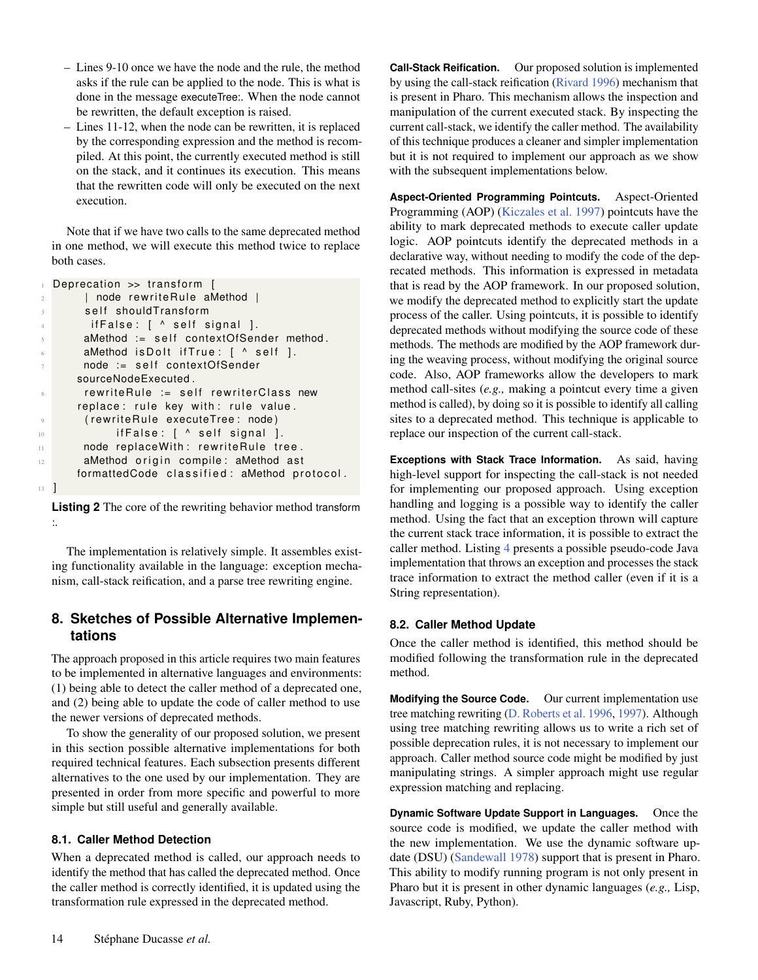- Lines 9-10 once we have the node and the rule, the method asks if the rule can be applied to the node. This is what is done in the message executeTree:. When the node cannot be rewritten, the default exception is raised.
- Lines 11-12, when the node can be rewritten, it is replaced by the corresponding expression and the method is recompiled. At this point, the currently executed method is still on the stack, and it continues its execution. This means that the rewritten code will only be executed on the next execution.

Note that if we have two calls to the same deprecated method in one method, we will execute this method twice to replace both cases.

```
Deprecation \gg transform [
2 | node rewrite Rule a Method |
       self shouldTransform
       if False: [ self signal ].aMethod := self contextOfSender method.
\delta aMethod is Dolt if True: [ \land self ].
7 node := self contextOfSender
      sourceNodeExecuted .
       rewriteRule := selfrewriterClass newreplace: rule key with: rule value.
       ( rewriteRule executeTree: node)
10 if False: [ \wedge self signal ].
11 node replace With: rewrite Rule tree.
12 aMethod origin compile: aMethod ast
      formattedCode classified: aMethod protocol.
13 ]
```
**Listing 2** The core of the rewriting behavior method transform :.

The implementation is relatively simple. It assembles existing functionality available in the language: exception mechanism, call-stack reification, and a parse tree rewriting engine.

## <span id="page-13-0"></span>**8. Sketches of Possible Alternative Implementations**

The approach proposed in this article requires two main features to be implemented in alternative languages and environments: (1) being able to detect the caller method of a deprecated one, and (2) being able to update the code of caller method to use the newer versions of deprecated methods.

To show the generality of our proposed solution, we present in this section possible alternative implementations for both required technical features. Each subsection presents different alternatives to the one used by our implementation. They are presented in order from more specific and powerful to more simple but still useful and generally available.

## **8.1. Caller Method Detection**

When a deprecated method is called, our approach needs to identify the method that has called the deprecated method. Once the caller method is correctly identified, it is updated using the transformation rule expressed in the deprecated method.

**Call-Stack Reification.** Our proposed solution is implemented by using the call-stack reification [\(Rivard](#page-19-3) [1996\)](#page-19-3) mechanism that is present in Pharo. This mechanism allows the inspection and manipulation of the current executed stack. By inspecting the current call-stack, we identify the caller method. The availability of this technique produces a cleaner and simpler implementation but it is not required to implement our approach as we show with the subsequent implementations below.

**Aspect-Oriented Programming Pointcuts.** Aspect-Oriented Programming (AOP) [\(Kiczales et al.](#page-18-15) [1997\)](#page-18-15) pointcuts have the ability to mark deprecated methods to execute caller update logic. AOP pointcuts identify the deprecated methods in a declarative way, without needing to modify the code of the deprecated methods. This information is expressed in metadata that is read by the AOP framework. In our proposed solution, we modify the deprecated method to explicitly start the update process of the caller. Using pointcuts, it is possible to identify deprecated methods without modifying the source code of these methods. The methods are modified by the AOP framework during the weaving process, without modifying the original source code. Also, AOP frameworks allow the developers to mark method call-sites (*e.g.,* making a pointcut every time a given method is called), by doing so it is possible to identify all calling sites to a deprecated method. This technique is applicable to replace our inspection of the current call-stack.

**Exceptions with Stack Trace Information.** As said, having high-level support for inspecting the call-stack is not needed for implementing our proposed approach. Using exception handling and logging is a possible way to identify the caller method. Using the fact that an exception thrown will capture the current stack trace information, it is possible to extract the caller method. Listing [4](#page-14-1) presents a possible pseudo-code Java implementation that throws an exception and processes the stack trace information to extract the method caller (even if it is a String representation).

## **8.2. Caller Method Update**

Once the caller method is identified, this method should be modified following the transformation rule in the deprecated method.

**Modifying the Source Code.** Our current implementation use tree matching rewriting [\(D. Roberts et al.](#page-19-4) [1996,](#page-19-4) [1997\)](#page-19-5). Although using tree matching rewriting allows us to write a rich set of possible deprecation rules, it is not necessary to implement our approach. Caller method source code might be modified by just manipulating strings. A simpler approach might use regular expression matching and replacing.

**Dynamic Software Update Support in Languages.** Once the source code is modified, we update the caller method with the new implementation. We use the dynamic software update (DSU) [\(Sandewall](#page-19-21) [1978\)](#page-19-21) support that is present in Pharo. This ability to modify running program is not only present in Pharo but it is present in other dynamic languages (*e.g.,* Lisp, Javascript, Ruby, Python).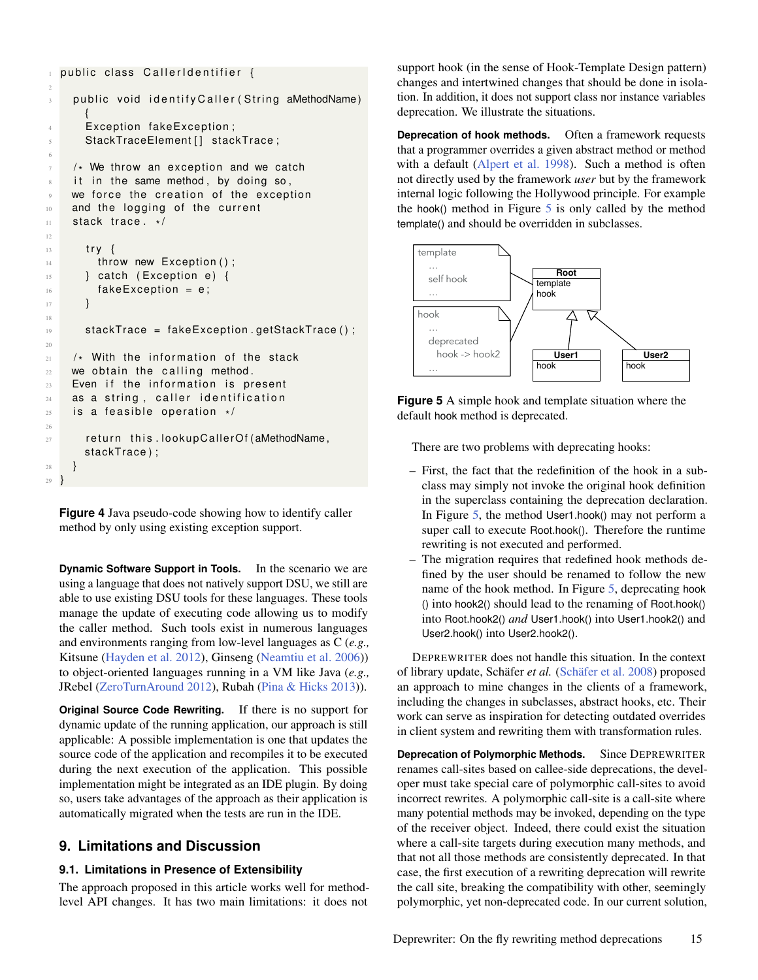```
public class CallerIdentifier {
    public void identify Caller (String aMethodName)
      {
      Exception fakeException;
      StackTraceElement [] stackTrace;
6
\frac{7}{7} /* We throw an exception and we catch
    it in the same method, by doing so,
    we force the creation of the exception
10 and the logging of the current
\frac{11}{2} stack trace. \star/
12
13 try {
14 throw new Exception ();
15 } catch (Exception e) {
16 fakeException = e;
17 }
18
19 stackTrace = fakeException.getStackTrace();
20
_{21} /* With the information of the stack
22 we obtain the calling method.
23 Even if the information is present
24 as a string, caller identification
_{25} is a feasible operation \star/26
27 return this lookupCallerOf (aMethodName,
      stackTrace);
28 }
29 }
```
**Figure 4** Java pseudo-code showing how to identify caller method by only using existing exception support.

**Dynamic Software Support in Tools.** In the scenario we are using a language that does not natively support DSU, we still are able to use existing DSU tools for these languages. These tools manage the update of executing code allowing us to modify the caller method. Such tools exist in numerous languages and environments ranging from low-level languages as C (*e.g.,* Kitsune [\(Hayden et al.](#page-18-16) [2012\)](#page-18-16), Ginseng [\(Neamtiu et al.](#page-19-22) [2006\)](#page-19-22)) to object-oriented languages running in a VM like Java (*e.g.,* JRebel [\(ZeroTurnAround](#page-20-6) [2012\)](#page-20-6), Rubah [\(Pina & Hicks](#page-19-23) [2013\)](#page-19-23)).

**Original Source Code Rewriting.** If there is no support for dynamic update of the running application, our approach is still applicable: A possible implementation is one that updates the source code of the application and recompiles it to be executed during the next execution of the application. This possible implementation might be integrated as an IDE plugin. By doing so, users take advantages of the approach as their application is automatically migrated when the tests are run in the IDE.

## <span id="page-14-0"></span>**9. Limitations and Discussion**

#### **9.1. Limitations in Presence of Extensibility**

The approach proposed in this article works well for methodlevel API changes. It has two main limitations: it does not

support hook (in the sense of Hook-Template Design pattern) changes and intertwined changes that should be done in isolation. In addition, it does not support class nor instance variables deprecation. We illustrate the situations.

**Deprecation of hook methods.** Often a framework requests that a programmer overrides a given abstract method or method with a default [\(Alpert et al.](#page-18-17) [1998\)](#page-18-17). Such a method is often not directly used by the framework *user* but by the framework internal logic following the Hollywood principle. For example the hook() method in Figure [5](#page-14-2) is only called by the method template() and should be overridden in subclasses.

<span id="page-14-2"></span>

**Figure 5** A simple hook and template situation where the default hook method is deprecated.

There are two problems with deprecating hooks:

- First, the fact that the redefinition of the hook in a subclass may simply not invoke the original hook definition in the superclass containing the deprecation declaration. In Figure [5,](#page-14-2) the method User1.hook() may not perform a super call to execute Root.hook(). Therefore the runtime rewriting is not executed and performed.
- The migration requires that redefined hook methods defined by the user should be renamed to follow the new name of the hook method. In Figure [5,](#page-14-2) deprecating hook () into hook2() should lead to the renaming of Root.hook() into Root.hook2() *and* User1.hook() into User1.hook2() and User2.hook() into User2.hook2().

DEPREWRITER does not handle this situation. In the context of library update, Schäfer *et al.* [\(Schäfer et al.](#page-19-6) [2008\)](#page-19-6) proposed an approach to mine changes in the clients of a framework, including the changes in subclasses, abstract hooks, etc. Their work can serve as inspiration for detecting outdated overrides in client system and rewriting them with transformation rules.

**Deprecation of Polymorphic Methods.** Since DEPREWRITER renames call-sites based on callee-side deprecations, the developer must take special care of polymorphic call-sites to avoid incorrect rewrites. A polymorphic call-site is a call-site where many potential methods may be invoked, depending on the type of the receiver object. Indeed, there could exist the situation where a call-site targets during execution many methods, and that not all those methods are consistently deprecated. In that case, the first execution of a rewriting deprecation will rewrite the call site, breaking the compatibility with other, seemingly polymorphic, yet non-deprecated code. In our current solution,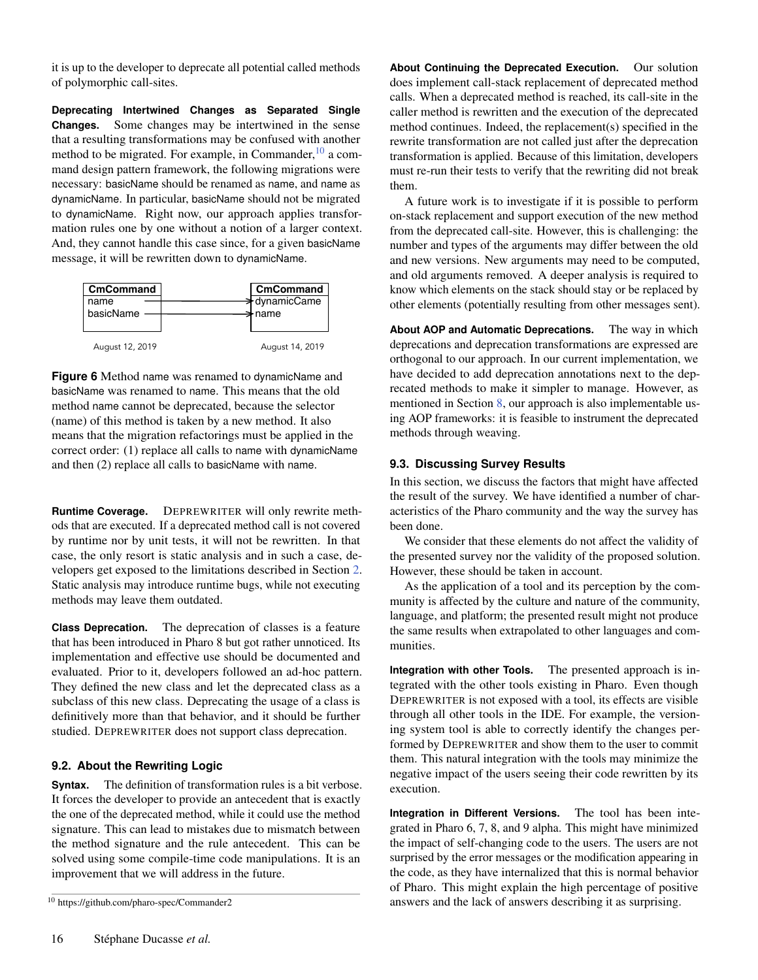it is up to the developer to deprecate all potential called methods of polymorphic call-sites.

**Deprecating Intertwined Changes as Separated Single Changes.** Some changes may be intertwined in the sense that a resulting transformations may be confused with another method to be migrated. For example, in Commander,  $10$  a command design pattern framework, the following migrations were necessary: basicName should be renamed as name, and name as dynamicName. In particular, basicName should not be migrated to dynamicName. Right now, our approach applies transformation rules one by one without a notion of a larger context. And, they cannot handle this case since, for a given basicName message, it will be rewritten down to dynamicName.



**Figure 6** Method name was renamed to dynamicName and basicName was renamed to name. This means that the old method name cannot be deprecated, because the selector (name) of this method is taken by a new method. It also means that the migration refactorings must be applied in the correct order: (1) replace all calls to name with dynamicName and then (2) replace all calls to basicName with name.

**Runtime Coverage.** DEPREWRITER will only rewrite methods that are executed. If a deprecated method call is not covered by runtime nor by unit tests, it will not be rewritten. In that case, the only resort is static analysis and in such a case, developers get exposed to the limitations described in Section [2.](#page-2-0) Static analysis may introduce runtime bugs, while not executing methods may leave them outdated.

**Class Deprecation.** The deprecation of classes is a feature that has been introduced in Pharo 8 but got rather unnoticed. Its implementation and effective use should be documented and evaluated. Prior to it, developers followed an ad-hoc pattern. They defined the new class and let the deprecated class as a subclass of this new class. Deprecating the usage of a class is definitively more than that behavior, and it should be further studied. DEPREWRITER does not support class deprecation.

## **9.2. About the Rewriting Logic**

**Syntax.** The definition of transformation rules is a bit verbose. It forces the developer to provide an antecedent that is exactly the one of the deprecated method, while it could use the method signature. This can lead to mistakes due to mismatch between the method signature and the rule antecedent. This can be solved using some compile-time code manipulations. It is an improvement that we will address in the future.

**About Continuing the Deprecated Execution.** Our solution does implement call-stack replacement of deprecated method calls. When a deprecated method is reached, its call-site in the caller method is rewritten and the execution of the deprecated method continues. Indeed, the replacement(s) specified in the rewrite transformation are not called just after the deprecation transformation is applied. Because of this limitation, developers must re-run their tests to verify that the rewriting did not break them.

A future work is to investigate if it is possible to perform on-stack replacement and support execution of the new method from the deprecated call-site. However, this is challenging: the number and types of the arguments may differ between the old and new versions. New arguments may need to be computed, and old arguments removed. A deeper analysis is required to know which elements on the stack should stay or be replaced by other elements (potentially resulting from other messages sent).

**About AOP and Automatic Deprecations.** The way in which deprecations and deprecation transformations are expressed are orthogonal to our approach. In our current implementation, we have decided to add deprecation annotations next to the deprecated methods to make it simpler to manage. However, as mentioned in Section [8,](#page-13-0) our approach is also implementable using AOP frameworks: it is feasible to instrument the deprecated methods through weaving.

#### **9.3. Discussing Survey Results**

In this section, we discuss the factors that might have affected the result of the survey. We have identified a number of characteristics of the Pharo community and the way the survey has been done.

We consider that these elements do not affect the validity of the presented survey nor the validity of the proposed solution. However, these should be taken in account.

As the application of a tool and its perception by the community is affected by the culture and nature of the community, language, and platform; the presented result might not produce the same results when extrapolated to other languages and communities.

**Integration with other Tools.** The presented approach is integrated with the other tools existing in Pharo. Even though DEPREWRITER is not exposed with a tool, its effects are visible through all other tools in the IDE. For example, the versioning system tool is able to correctly identify the changes performed by DEPREWRITER and show them to the user to commit them. This natural integration with the tools may minimize the negative impact of the users seeing their code rewritten by its execution.

**Integration in Different Versions.** The tool has been integrated in Pharo 6, 7, 8, and 9 alpha. This might have minimized the impact of self-changing code to the users. The users are not surprised by the error messages or the modification appearing in the code, as they have internalized that this is normal behavior of Pharo. This might explain the high percentage of positive answers and the lack of answers describing it as surprising.

<sup>10</sup> https://github.com/pharo-spec/Commander2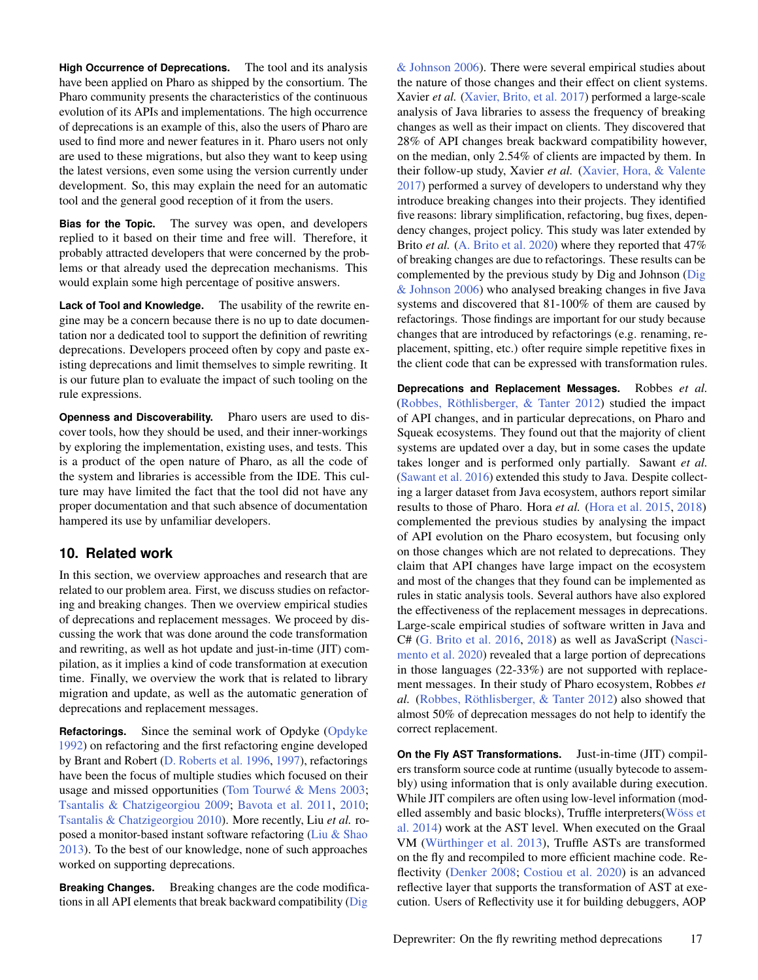**High Occurrence of Deprecations.** The tool and its analysis have been applied on Pharo as shipped by the consortium. The Pharo community presents the characteristics of the continuous evolution of its APIs and implementations. The high occurrence of deprecations is an example of this, also the users of Pharo are used to find more and newer features in it. Pharo users not only are used to these migrations, but also they want to keep using the latest versions, even some using the version currently under development. So, this may explain the need for an automatic tool and the general good reception of it from the users.

**Bias for the Topic.** The survey was open, and developers replied to it based on their time and free will. Therefore, it probably attracted developers that were concerned by the problems or that already used the deprecation mechanisms. This would explain some high percentage of positive answers.

**Lack of Tool and Knowledge.** The usability of the rewrite engine may be a concern because there is no up to date documentation nor a dedicated tool to support the definition of rewriting deprecations. Developers proceed often by copy and paste existing deprecations and limit themselves to simple rewriting. It is our future plan to evaluate the impact of such tooling on the rule expressions.

**Openness and Discoverability.** Pharo users are used to discover tools, how they should be used, and their inner-workings by exploring the implementation, existing uses, and tests. This is a product of the open nature of Pharo, as all the code of the system and libraries is accessible from the IDE. This culture may have limited the fact that the tool did not have any proper documentation and that such absence of documentation hampered its use by unfamiliar developers.

## **10. Related work**

In this section, we overview approaches and research that are related to our problem area. First, we discuss studies on refactoring and breaking changes. Then we overview empirical studies of deprecations and replacement messages. We proceed by discussing the work that was done around the code transformation and rewriting, as well as hot update and just-in-time (JIT) compilation, as it implies a kind of code transformation at execution time. Finally, we overview the work that is related to library migration and update, as well as the automatic generation of deprecations and replacement messages.

**Refactorings.** Since the seminal work of Opdyke [\(Opdyke](#page-19-24) [1992\)](#page-19-24) on refactoring and the first refactoring engine developed by Brant and Robert [\(D. Roberts et al.](#page-19-4) [1996,](#page-19-4) [1997\)](#page-19-5), refactorings have been the focus of multiple studies which focused on their usage and missed opportunities [\(Tom Tourwé & Mens](#page-20-7) [2003;](#page-20-7) [Tsantalis & Chatzigeorgiou](#page-20-8) [2009;](#page-20-8) [Bavota et al.](#page-18-18) [2011,](#page-18-18) [2010;](#page-18-19) [Tsantalis & Chatzigeorgiou](#page-20-9) [2010\)](#page-20-9). More recently, Liu *et al.* roposed a monitor-based instant software refactoring [\(Liu & Shao](#page-19-25) [2013\)](#page-19-25). To the best of our knowledge, none of such approaches worked on supporting deprecations.

**Breaking Changes.** Breaking changes are the code modifications in all API elements that break backward compatibility [\(Dig](#page-18-11)

[& Johnson](#page-18-11) [2006\)](#page-18-11). There were several empirical studies about the nature of those changes and their effect on client systems. Xavier *et al.* [\(Xavier, Brito, et al.](#page-20-10) [2017\)](#page-20-10) performed a large-scale analysis of Java libraries to assess the frequency of breaking changes as well as their impact on clients. They discovered that 28% of API changes break backward compatibility however, on the median, only 2.54% of clients are impacted by them. In their follow-up study, Xavier *et al.* [\(Xavier, Hora, & Valente](#page-20-11) [2017\)](#page-20-11) performed a survey of developers to understand why they introduce breaking changes into their projects. They identified five reasons: library simplification, refactoring, bug fixes, dependency changes, project policy. This study was later extended by Brito *et al.* [\(A. Brito et al.](#page-18-20) [2020\)](#page-18-20) where they reported that 47% of breaking changes are due to refactorings. These results can be complemented by the previous study by Dig and Johnson [\(Dig](#page-18-11) [& Johnson](#page-18-11) [2006\)](#page-18-11) who analysed breaking changes in five Java systems and discovered that 81-100% of them are caused by refactorings. Those findings are important for our study because changes that are introduced by refactorings (e.g. renaming, replacement, spitting, etc.) ofter require simple repetitive fixes in the client code that can be expressed with transformation rules.

**Deprecations and Replacement Messages.** Robbes *et al.* [\(Robbes, Röthlisberger, & Tanter](#page-19-26) [2012\)](#page-19-26) studied the impact of API changes, and in particular deprecations, on Pharo and Squeak ecosystems. They found out that the majority of client systems are updated over a day, but in some cases the update takes longer and is performed only partially. Sawant *et al.* [\(Sawant et al.](#page-19-27) [2016\)](#page-19-27) extended this study to Java. Despite collecting a larger dataset from Java ecosystem, authors report similar results to those of Pharo. Hora *et al.* [\(Hora et al.](#page-18-21) [2015,](#page-18-21) [2018\)](#page-18-22) complemented the previous studies by analysing the impact of API evolution on the Pharo ecosystem, but focusing only on those changes which are not related to deprecations. They claim that API changes have large impact on the ecosystem and most of the changes that they found can be implemented as rules in static analysis tools. Several authors have also explored the effectiveness of the replacement messages in deprecations. Large-scale empirical studies of software written in Java and C# [\(G. Brito et al.](#page-18-23) [2016,](#page-18-23) [2018\)](#page-18-2) as well as JavaScript [\(Nasci](#page-19-28)[mento et al.](#page-19-28) [2020\)](#page-19-28) revealed that a large portion of deprecations in those languages (22-33%) are not supported with replacement messages. In their study of Pharo ecosystem, Robbes *et al.* [\(Robbes, Röthlisberger, & Tanter](#page-19-26) [2012\)](#page-19-26) also showed that almost 50% of deprecation messages do not help to identify the correct replacement.

**On the Fly AST Transformations.** Just-in-time (JIT) compilers transform source code at runtime (usually bytecode to assembly) using information that is only available during execution. While JIT compilers are often using low-level information (modelled assembly and basic blocks), Truffle interpreters[\(Wöss et](#page-20-12) [al.](#page-20-12) [2014\)](#page-20-12) work at the AST level. When executed on the Graal VM [\(Würthinger et al.](#page-20-13) [2013\)](#page-20-13), Truffle ASTs are transformed on the fly and recompiled to more efficient machine code. Reflectivity [\(Denker](#page-18-24) [2008;](#page-18-24) [Costiou et al.](#page-18-25) [2020\)](#page-18-25) is an advanced reflective layer that supports the transformation of AST at execution. Users of Reflectivity use it for building debuggers, AOP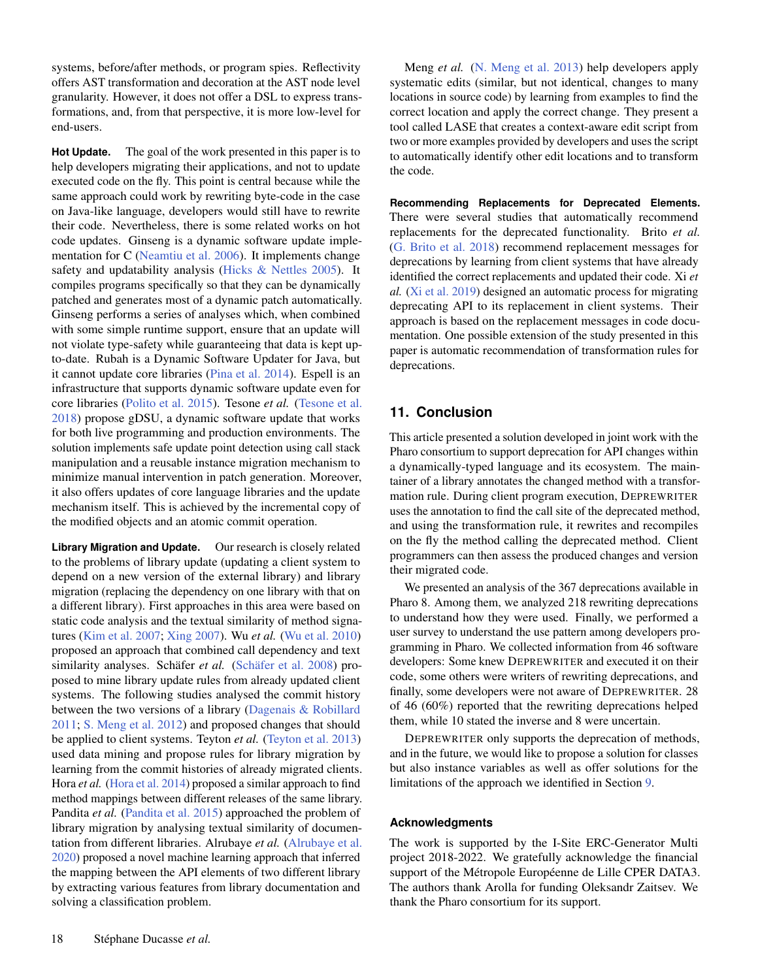systems, before/after methods, or program spies. Reflectivity offers AST transformation and decoration at the AST node level granularity. However, it does not offer a DSL to express transformations, and, from that perspective, it is more low-level for end-users.

**Hot Update.** The goal of the work presented in this paper is to help developers migrating their applications, and not to update executed code on the fly. This point is central because while the same approach could work by rewriting byte-code in the case on Java-like language, developers would still have to rewrite their code. Nevertheless, there is some related works on hot code updates. Ginseng is a dynamic software update implementation for C [\(Neamtiu et al.](#page-19-22) [2006\)](#page-19-22). It implements change safety and updatability analysis [\(Hicks & Nettles](#page-18-26) [2005\)](#page-18-26). It compiles programs specifically so that they can be dynamically patched and generates most of a dynamic patch automatically. Ginseng performs a series of analyses which, when combined with some simple runtime support, ensure that an update will not violate type-safety while guaranteeing that data is kept upto-date. Rubah is a Dynamic Software Updater for Java, but it cannot update core libraries [\(Pina et al.](#page-19-29) [2014\)](#page-19-29). Espell is an infrastructure that supports dynamic software update even for core libraries [\(Polito et al.](#page-19-30) [2015\)](#page-19-30). Tesone *et al.* [\(Tesone et al.](#page-20-14) [2018\)](#page-20-14) propose gDSU, a dynamic software update that works for both live programming and production environments. The solution implements safe update point detection using call stack manipulation and a reusable instance migration mechanism to minimize manual intervention in patch generation. Moreover, it also offers updates of core language libraries and the update mechanism itself. This is achieved by the incremental copy of the modified objects and an atomic commit operation.

**Library Migration and Update.** Our research is closely related to the problems of library update (updating a client system to depend on a new version of the external library) and library migration (replacing the dependency on one library with that on a different library). First approaches in this area were based on static code analysis and the textual similarity of method signatures [\(Kim et al.](#page-18-3) [2007;](#page-18-3) [Xing](#page-20-0) [2007\)](#page-20-0). Wu *et al.* [\(Wu et al.](#page-20-1) [2010\)](#page-20-1) proposed an approach that combined call dependency and text similarity analyses. Schäfer *et al.* [\(Schäfer et al.](#page-19-6) [2008\)](#page-19-6) proposed to mine library update rules from already updated client systems. The following studies analysed the commit history between the two versions of a library [\(Dagenais & Robillard](#page-18-27) [2011;](#page-18-27) [S. Meng et al.](#page-19-9) [2012\)](#page-19-9) and proposed changes that should be applied to client systems. Teyton *et al.* [\(Teyton et al.](#page-20-2) [2013\)](#page-20-2) used data mining and propose rules for library migration by learning from the commit histories of already migrated clients. Hora *et al.* [\(Hora et al.](#page-18-5) [2014\)](#page-18-5) proposed a similar approach to find method mappings between different releases of the same library. Pandita *et al.* [\(Pandita et al.](#page-19-8) [2015\)](#page-19-8) approached the problem of library migration by analysing textual similarity of documentation from different libraries. Alrubaye *et al.* [\(Alrubaye et al.](#page-18-28) [2020\)](#page-18-28) proposed a novel machine learning approach that inferred the mapping between the API elements of two different library by extracting various features from library documentation and solving a classification problem.

Meng *et al.* [\(N. Meng et al.](#page-19-31) [2013\)](#page-19-31) help developers apply systematic edits (similar, but not identical, changes to many locations in source code) by learning from examples to find the correct location and apply the correct change. They present a tool called LASE that creates a context-aware edit script from two or more examples provided by developers and uses the script to automatically identify other edit locations and to transform the code.

**Recommending Replacements for Deprecated Elements.** There were several studies that automatically recommend replacements for the deprecated functionality. Brito *et al.* [\(G. Brito et al.](#page-18-2) [2018\)](#page-18-2) recommend replacement messages for deprecations by learning from client systems that have already identified the correct replacements and updated their code. Xi *et al.* [\(Xi et al.](#page-20-15) [2019\)](#page-20-15) designed an automatic process for migrating deprecating API to its replacement in client systems. Their approach is based on the replacement messages in code documentation. One possible extension of the study presented in this paper is automatic recommendation of transformation rules for deprecations.

# **11. Conclusion**

This article presented a solution developed in joint work with the Pharo consortium to support deprecation for API changes within a dynamically-typed language and its ecosystem. The maintainer of a library annotates the changed method with a transformation rule. During client program execution, DEPREWRITER uses the annotation to find the call site of the deprecated method, and using the transformation rule, it rewrites and recompiles on the fly the method calling the deprecated method. Client programmers can then assess the produced changes and version their migrated code.

We presented an analysis of the 367 deprecations available in Pharo 8. Among them, we analyzed 218 rewriting deprecations to understand how they were used. Finally, we performed a user survey to understand the use pattern among developers programming in Pharo. We collected information from 46 software developers: Some knew DEPREWRITER and executed it on their code, some others were writers of rewriting deprecations, and finally, some developers were not aware of DEPREWRITER. 28 of 46 (60%) reported that the rewriting deprecations helped them, while 10 stated the inverse and 8 were uncertain.

DEPREWRITER only supports the deprecation of methods, and in the future, we would like to propose a solution for classes but also instance variables as well as offer solutions for the limitations of the approach we identified in Section [9.](#page-14-0)

#### **Acknowledgments**

The work is supported by the I-Site ERC-Generator Multi project 2018-2022. We gratefully acknowledge the financial support of the Métropole Européenne de Lille CPER DATA3. The authors thank Arolla for funding Oleksandr Zaitsev. We thank the Pharo consortium for its support.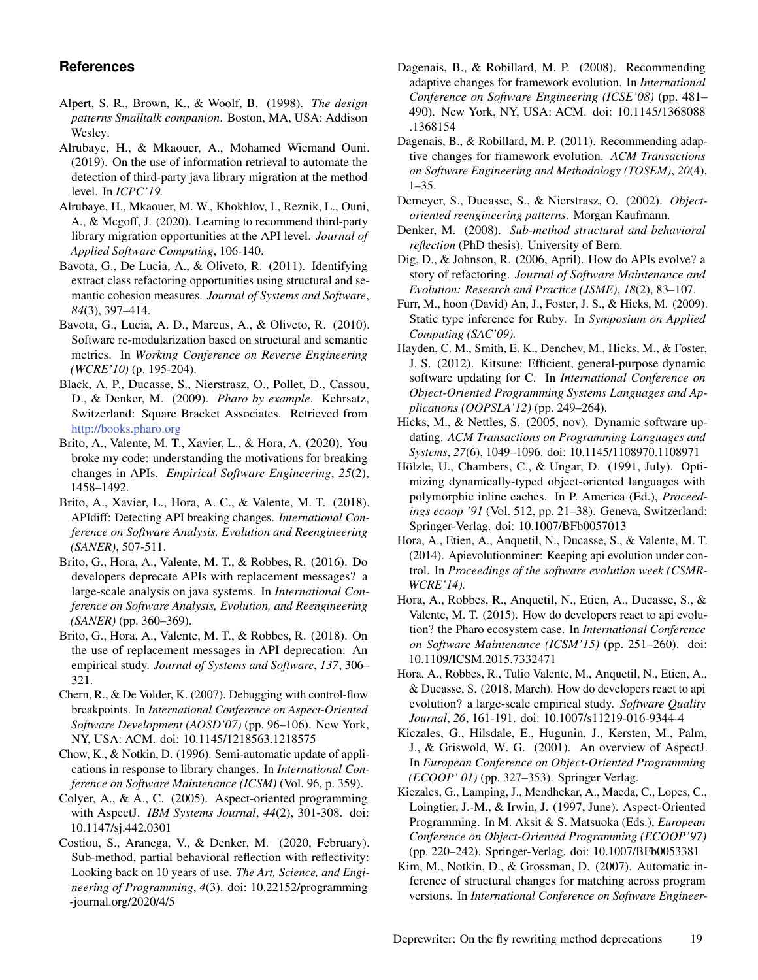# **References**

- <span id="page-18-17"></span>Alpert, S. R., Brown, K., & Woolf, B. (1998). *The design patterns Smalltalk companion*. Boston, MA, USA: Addison Wesley.
- <span id="page-18-6"></span>Alrubaye, H., & Mkaouer, A., Mohamed Wiemand Ouni. (2019). On the use of information retrieval to automate the detection of third-party java library migration at the method level. In *ICPC'19.*
- <span id="page-18-28"></span>Alrubaye, H., Mkaouer, M. W., Khokhlov, I., Reznik, L., Ouni, A., & Mcgoff, J. (2020). Learning to recommend third-party library migration opportunities at the API level. *Journal of Applied Software Computing*, 106-140.
- <span id="page-18-18"></span>Bavota, G., De Lucia, A., & Oliveto, R. (2011). Identifying extract class refactoring opportunities using structural and semantic cohesion measures. *Journal of Systems and Software*, *84*(3), 397–414.
- <span id="page-18-19"></span>Bavota, G., Lucia, A. D., Marcus, A., & Oliveto, R. (2010). Software re-modularization based on structural and semantic metrics. In *Working Conference on Reverse Engineering (WCRE'10)* (p. 195-204).
- <span id="page-18-8"></span>Black, A. P., Ducasse, S., Nierstrasz, O., Pollet, D., Cassou, D., & Denker, M. (2009). *Pharo by example*. Kehrsatz, Switzerland: Square Bracket Associates. Retrieved from <http://books.pharo.org>
- <span id="page-18-20"></span>Brito, A., Valente, M. T., Xavier, L., & Hora, A. (2020). You broke my code: understanding the motivations for breaking changes in APIs. *Empirical Software Engineering*, *25*(2), 1458–1492.
- <span id="page-18-1"></span>Brito, A., Xavier, L., Hora, A. C., & Valente, M. T. (2018). APIdiff: Detecting API breaking changes. *International Conference on Software Analysis, Evolution and Reengineering (SANER)*, 507-511.
- <span id="page-18-23"></span>Brito, G., Hora, A., Valente, M. T., & Robbes, R. (2016). Do developers deprecate APIs with replacement messages? a large-scale analysis on java systems. In *International Conference on Software Analysis, Evolution, and Reengineering (SANER)* (pp. 360–369).
- <span id="page-18-2"></span>Brito, G., Hora, A., Valente, M. T., & Robbes, R. (2018). On the use of replacement messages in API deprecation: An empirical study. *Journal of Systems and Software*, *137*, 306– 321.
- <span id="page-18-14"></span>Chern, R., & De Volder, K. (2007). Debugging with control-flow breakpoints. In *International Conference on Aspect-Oriented Software Development (AOSD'07)* (pp. 96–106). New York, NY, USA: ACM. doi: 10.1145/1218563.1218575
- <span id="page-18-7"></span>Chow, K., & Notkin, D. (1996). Semi-automatic update of applications in response to library changes. In *International Conference on Software Maintenance (ICSM)* (Vol. 96, p. 359).
- <span id="page-18-13"></span>Colyer, A., & A., C. (2005). Aspect-oriented programming with AspectJ. *IBM Systems Journal*, *44*(2), 301-308. doi: 10.1147/sj.442.0301
- <span id="page-18-25"></span>Costiou, S., Aranega, V., & Denker, M. (2020, February). Sub-method, partial behavioral reflection with reflectivity: Looking back on 10 years of use. *The Art, Science, and Engineering of Programming*, *4*(3). doi: 10.22152/programming -journal.org/2020/4/5
- <span id="page-18-4"></span>Dagenais, B., & Robillard, M. P. (2008). Recommending adaptive changes for framework evolution. In *International Conference on Software Engineering (ICSE'08)* (pp. 481– 490). New York, NY, USA: ACM. doi: 10.1145/1368088 .1368154
- <span id="page-18-27"></span>Dagenais, B., & Robillard, M. P. (2011). Recommending adaptive changes for framework evolution. *ACM Transactions on Software Engineering and Methodology (TOSEM)*, *20*(4), 1–35.
- <span id="page-18-0"></span>Demeyer, S., Ducasse, S., & Nierstrasz, O. (2002). *Objectoriented reengineering patterns*. Morgan Kaufmann.
- <span id="page-18-24"></span>Denker, M. (2008). *Sub-method structural and behavioral reflection* (PhD thesis). University of Bern.
- <span id="page-18-11"></span>Dig, D., & Johnson, R. (2006, April). How do APIs evolve? a story of refactoring. *Journal of Software Maintenance and Evolution: Research and Practice (JSME)*, *18*(2), 83–107.
- <span id="page-18-9"></span>Furr, M., hoon (David) An, J., Foster, J. S., & Hicks, M. (2009). Static type inference for Ruby. In *Symposium on Applied Computing (SAC'09).*
- <span id="page-18-16"></span>Hayden, C. M., Smith, E. K., Denchev, M., Hicks, M., & Foster, J. S. (2012). Kitsune: Efficient, general-purpose dynamic software updating for C. In *International Conference on Object-Oriented Programming Systems Languages and Applications (OOPSLA'12)* (pp. 249–264).
- <span id="page-18-26"></span>Hicks, M., & Nettles, S. (2005, nov). Dynamic software updating. *ACM Transactions on Programming Languages and Systems*, *27*(6), 1049–1096. doi: 10.1145/1108970.1108971
- <span id="page-18-10"></span>Hölzle, U., Chambers, C., & Ungar, D. (1991, July). Optimizing dynamically-typed object-oriented languages with polymorphic inline caches. In P. America (Ed.), *Proceedings ecoop '91* (Vol. 512, pp. 21–38). Geneva, Switzerland: Springer-Verlag. doi: 10.1007/BFb0057013
- <span id="page-18-5"></span>Hora, A., Etien, A., Anquetil, N., Ducasse, S., & Valente, M. T. (2014). Apievolutionminer: Keeping api evolution under control. In *Proceedings of the software evolution week (CSMR-WCRE'14).*
- <span id="page-18-21"></span>Hora, A., Robbes, R., Anquetil, N., Etien, A., Ducasse, S., & Valente, M. T. (2015). How do developers react to api evolution? the Pharo ecosystem case. In *International Conference on Software Maintenance (ICSM'15)* (pp. 251–260). doi: 10.1109/ICSM.2015.7332471
- <span id="page-18-22"></span>Hora, A., Robbes, R., Tulio Valente, M., Anquetil, N., Etien, A., & Ducasse, S. (2018, March). How do developers react to api evolution? a large-scale empirical study. *Software Quality Journal*, *26*, 161-191. doi: 10.1007/s11219-016-9344-4
- <span id="page-18-12"></span>Kiczales, G., Hilsdale, E., Hugunin, J., Kersten, M., Palm, J., & Griswold, W. G. (2001). An overview of AspectJ. In *European Conference on Object-Oriented Programming (ECOOP' 01)* (pp. 327–353). Springer Verlag.
- <span id="page-18-15"></span>Kiczales, G., Lamping, J., Mendhekar, A., Maeda, C., Lopes, C., Loingtier, J.-M., & Irwin, J. (1997, June). Aspect-Oriented Programming. In M. Aksit & S. Matsuoka (Eds.), *European Conference on Object-Oriented Programming (ECOOP'97)* (pp. 220–242). Springer-Verlag. doi: 10.1007/BFb0053381
- <span id="page-18-3"></span>Kim, M., Notkin, D., & Grossman, D. (2007). Automatic inference of structural changes for matching across program versions. In *International Conference on Software Engineer-*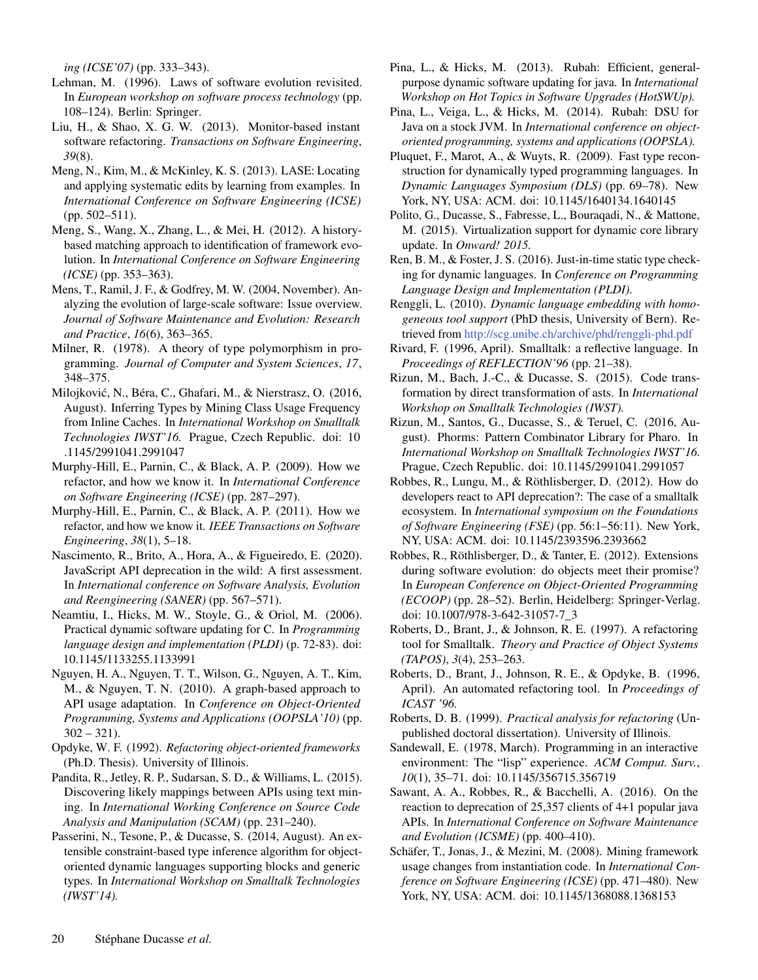*ing (ICSE'07)* (pp. 333–343).

- <span id="page-19-0"></span>Lehman, M. (1996). Laws of software evolution revisited. In *European workshop on software process technology* (pp. 108–124). Berlin: Springer.
- <span id="page-19-25"></span>Liu, H., & Shao, X. G. W. (2013). Monitor-based instant software refactoring. *Transactions on Software Engineering*, *39*(8).
- <span id="page-19-31"></span>Meng, N., Kim, M., & McKinley, K. S. (2013). LASE: Locating and applying systematic edits by learning from examples. In *International Conference on Software Engineering (ICSE)* (pp. 502–511).
- <span id="page-19-9"></span>Meng, S., Wang, X., Zhang, L., & Mei, H. (2012). A historybased matching approach to identification of framework evolution. In *International Conference on Software Engineering (ICSE)* (pp. 353–363).
- <span id="page-19-1"></span>Mens, T., Ramil, J. F., & Godfrey, M. W. (2004, November). Analyzing the evolution of large-scale software: Issue overview. *Journal of Software Maintenance and Evolution: Research and Practice*, *16*(6), 363–365.
- <span id="page-19-10"></span>Milner, R. (1978). A theory of type polymorphism in programming. *Journal of Computer and System Sciences*, *17*, 348–375.
- <span id="page-19-14"></span>Milojkovic, N., Béra, C., Ghafari, M., & Nierstrasz, O. (2016, ´ August). Inferring Types by Mining Class Usage Frequency from Inline Caches. In *International Workshop on Smalltalk Technologies IWST'16.* Prague, Czech Republic. doi: 10 .1145/2991041.2991047
- <span id="page-19-20"></span>Murphy-Hill, E., Parnin, C., & Black, A. P. (2009). How we refactor, and how we know it. In *International Conference on Software Engineering (ICSE)* (pp. 287–297).
- <span id="page-19-19"></span>Murphy-Hill, E., Parnin, C., & Black, A. P. (2011). How we refactor, and how we know it. *IEEE Transactions on Software Engineering*, *38*(1), 5–18.
- <span id="page-19-28"></span>Nascimento, R., Brito, A., Hora, A., & Figueiredo, E. (2020). JavaScript API deprecation in the wild: A first assessment. In *International conference on Software Analysis, Evolution and Reengineering (SANER)* (pp. 567–571).
- <span id="page-19-22"></span>Neamtiu, I., Hicks, M. W., Stoyle, G., & Oriol, M. (2006). Practical dynamic software updating for C. In *Programming language design and implementation (PLDI)* (p. 72-83). doi: 10.1145/1133255.1133991
- <span id="page-19-7"></span>Nguyen, H. A., Nguyen, T. T., Wilson, G., Nguyen, A. T., Kim, M., & Nguyen, T. N. (2010). A graph-based approach to API usage adaptation. In *Conference on Object-Oriented Programming, Systems and Applications (OOPSLA'10)* (pp.  $302 - 321$ .
- <span id="page-19-24"></span>Opdyke, W. F. (1992). *Refactoring object-oriented frameworks* (Ph.D. Thesis). University of Illinois.
- <span id="page-19-8"></span>Pandita, R., Jetley, R. P., Sudarsan, S. D., & Williams, L. (2015). Discovering likely mappings between APIs using text mining. In *International Working Conference on Source Code Analysis and Manipulation (SCAM)* (pp. 231–240).
- <span id="page-19-13"></span>Passerini, N., Tesone, P., & Ducasse, S. (2014, August). An extensible constraint-based type inference algorithm for objectoriented dynamic languages supporting blocks and generic types. In *International Workshop on Smalltalk Technologies (IWST'14).*
- <span id="page-19-23"></span>Pina, L., & Hicks, M. (2013). Rubah: Efficient, generalpurpose dynamic software updating for java. In *International Workshop on Hot Topics in Software Upgrades (HotSWUp).*
- <span id="page-19-29"></span>Pina, L., Veiga, L., & Hicks, M. (2014). Rubah: DSU for Java on a stock JVM. In *International conference on objectoriented programming, systems and applications (OOPSLA).*
- <span id="page-19-12"></span>Pluquet, F., Marot, A., & Wuyts, R. (2009). Fast type reconstruction for dynamically typed programming languages. In *Dynamic Languages Symposium (DLS)* (pp. 69–78). New York, NY, USA: ACM. doi: 10.1145/1640134.1640145
- <span id="page-19-30"></span>Polito, G., Ducasse, S., Fabresse, L., Bouraqadi, N., & Mattone, M. (2015). Virtualization support for dynamic core library update. In *Onward! 2015.*
- <span id="page-19-11"></span>Ren, B. M., & Foster, J. S. (2016). Just-in-time static type checking for dynamic languages. In *Conference on Programming Language Design and Implementation (PLDI).*
- <span id="page-19-16"></span>Renggli, L. (2010). *Dynamic language embedding with homogeneous tool support* (PhD thesis, University of Bern). Retrieved from <http://scg.unibe.ch/archive/phd/renggli-phd.pdf>
- <span id="page-19-3"></span>Rivard, F. (1996, April). Smalltalk: a reflective language. In *Proceedings of REFLECTION'96* (pp. 21–38).
- <span id="page-19-17"></span>Rizun, M., Bach, J.-C., & Ducasse, S. (2015). Code transformation by direct transformation of asts. In *International Workshop on Smalltalk Technologies (IWST).*
- <span id="page-19-18"></span>Rizun, M., Santos, G., Ducasse, S., & Teruel, C. (2016, August). Phorms: Pattern Combinator Library for Pharo. In *International Workshop on Smalltalk Technologies IWST'16.* Prague, Czech Republic. doi: 10.1145/2991041.2991057
- <span id="page-19-2"></span>Robbes, R., Lungu, M., & Röthlisberger, D. (2012). How do developers react to API deprecation?: The case of a smalltalk ecosystem. In *International symposium on the Foundations of Software Engineering (FSE)* (pp. 56:1–56:11). New York, NY, USA: ACM. doi: 10.1145/2393596.2393662
- <span id="page-19-26"></span>Robbes, R., Röthlisberger, D., & Tanter, E. (2012). Extensions during software evolution: do objects meet their promise? In *European Conference on Object-Oriented Programming (ECOOP)* (pp. 28–52). Berlin, Heidelberg: Springer-Verlag. doi: 10.1007/978-3-642-31057-7\_3
- <span id="page-19-5"></span>Roberts, D., Brant, J., & Johnson, R. E. (1997). A refactoring tool for Smalltalk. *Theory and Practice of Object Systems (TAPOS)*, *3*(4), 253–263.
- <span id="page-19-4"></span>Roberts, D., Brant, J., Johnson, R. E., & Opdyke, B. (1996, April). An automated refactoring tool. In *Proceedings of ICAST '96.*
- <span id="page-19-15"></span>Roberts, D. B. (1999). *Practical analysis for refactoring* (Unpublished doctoral dissertation). University of Illinois.
- <span id="page-19-21"></span>Sandewall, E. (1978, March). Programming in an interactive environment: The "lisp" experience. *ACM Comput. Surv.*, *10*(1), 35–71. doi: 10.1145/356715.356719
- <span id="page-19-27"></span>Sawant, A. A., Robbes, R., & Bacchelli, A. (2016). On the reaction to deprecation of 25,357 clients of 4+1 popular java APIs. In *International Conference on Software Maintenance and Evolution (ICSME)* (pp. 400–410).
- <span id="page-19-6"></span>Schäfer, T., Jonas, J., & Mezini, M. (2008). Mining framework usage changes from instantiation code. In *International Conference on Software Engineering (ICSE)* (pp. 471–480). New York, NY, USA: ACM. doi: 10.1145/1368088.1368153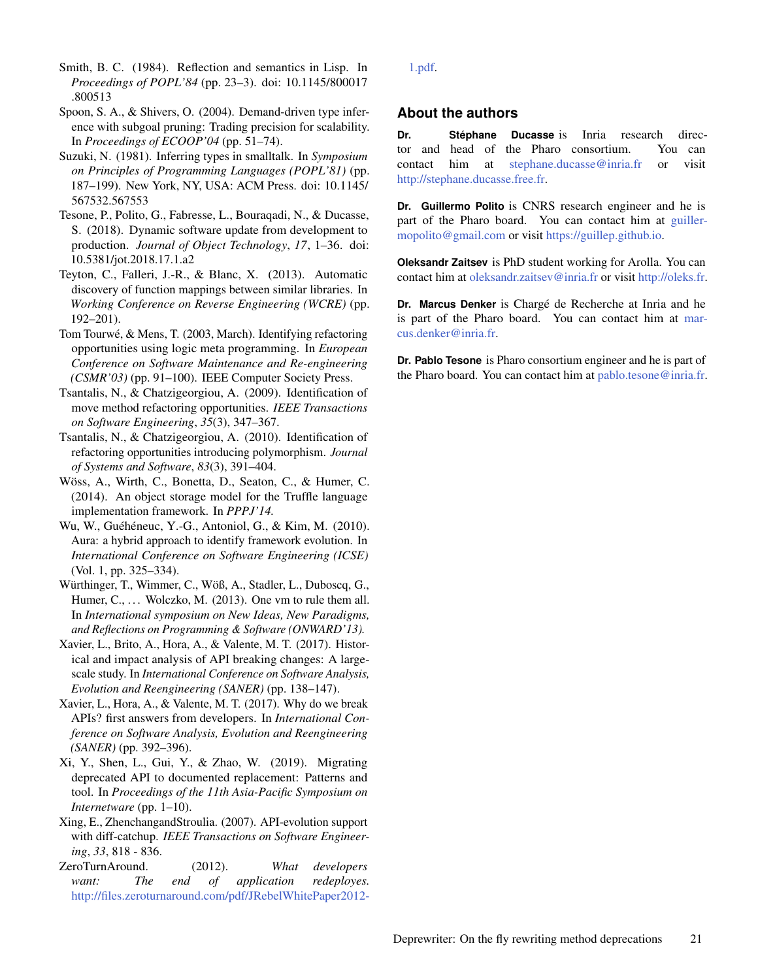<span id="page-20-5"></span>Smith, B. C. (1984). Reflection and semantics in Lisp. In *Proceedings of POPL'84* (pp. 23–3). doi: 10.1145/800017 .800513

- <span id="page-20-4"></span>Spoon, S. A., & Shivers, O. (2004). Demand-driven type inference with subgoal pruning: Trading precision for scalability. In *Proceedings of ECOOP'04* (pp. 51–74).
- <span id="page-20-3"></span>Suzuki, N. (1981). Inferring types in smalltalk. In *Symposium on Principles of Programming Languages (POPL'81)* (pp. 187–199). New York, NY, USA: ACM Press. doi: 10.1145/ 567532.567553
- <span id="page-20-14"></span>Tesone, P., Polito, G., Fabresse, L., Bouraqadi, N., & Ducasse, S. (2018). Dynamic software update from development to production. *Journal of Object Technology*, *17*, 1–36. doi: 10.5381/jot.2018.17.1.a2
- <span id="page-20-2"></span>Teyton, C., Falleri, J.-R., & Blanc, X. (2013). Automatic discovery of function mappings between similar libraries. In *Working Conference on Reverse Engineering (WCRE)* (pp. 192–201).
- <span id="page-20-7"></span>Tom Tourwé, & Mens, T. (2003, March). Identifying refactoring opportunities using logic meta programming. In *European Conference on Software Maintenance and Re-engineering (CSMR'03)* (pp. 91–100). IEEE Computer Society Press.
- <span id="page-20-8"></span>Tsantalis, N., & Chatzigeorgiou, A. (2009). Identification of move method refactoring opportunities. *IEEE Transactions on Software Engineering*, *35*(3), 347–367.
- <span id="page-20-9"></span>Tsantalis, N., & Chatzigeorgiou, A. (2010). Identification of refactoring opportunities introducing polymorphism. *Journal of Systems and Software*, *83*(3), 391–404.
- <span id="page-20-12"></span>Wöss, A., Wirth, C., Bonetta, D., Seaton, C., & Humer, C. (2014). An object storage model for the Truffle language implementation framework. In *PPPJ'14.*
- <span id="page-20-1"></span>Wu, W., Guéhéneuc, Y.-G., Antoniol, G., & Kim, M. (2010). Aura: a hybrid approach to identify framework evolution. In *International Conference on Software Engineering (ICSE)* (Vol. 1, pp. 325–334).
- <span id="page-20-13"></span>Würthinger, T., Wimmer, C., Wöß, A., Stadler, L., Duboscq, G., Humer,  $C_1, \ldots$  Wolczko, M. (2013). One vm to rule them all. In *International symposium on New Ideas, New Paradigms, and Reflections on Programming & Software (ONWARD'13).*
- <span id="page-20-10"></span>Xavier, L., Brito, A., Hora, A., & Valente, M. T. (2017). Historical and impact analysis of API breaking changes: A largescale study. In *International Conference on Software Analysis, Evolution and Reengineering (SANER)* (pp. 138–147).
- <span id="page-20-11"></span>Xavier, L., Hora, A., & Valente, M. T. (2017). Why do we break APIs? first answers from developers. In *International Conference on Software Analysis, Evolution and Reengineering (SANER)* (pp. 392–396).
- <span id="page-20-15"></span>Xi, Y., Shen, L., Gui, Y., & Zhao, W. (2019). Migrating deprecated API to documented replacement: Patterns and tool. In *Proceedings of the 11th Asia-Pacific Symposium on Internetware* (pp. 1–10).
- <span id="page-20-0"></span>Xing, E., ZhenchangandStroulia. (2007). API-evolution support with diff-catchup. *IEEE Transactions on Software Engineering*, *33*, 818 - 836.
- <span id="page-20-6"></span>ZeroTurnAround. (2012). *What developers want: The end of application redeployes.* [http://files.zeroturnaround.com/pdf/JRebelWhitePaper2012-](http://files.zeroturnaround.com/pdf/JRebelWhitePaper2012-1.pdf)

[1.pdf.](http://files.zeroturnaround.com/pdf/JRebelWhitePaper2012-1.pdf)

### **About the authors**

**Dr. Stéphane Ducasse** is Inria research director and head of the Pharo consortium. You can contact him at [stephane.ducasse@inria.fr](mailto:stephane.ducasse@inria.fr?subject=Your paper "Deprewriter: On the fly rewriting method deprecations") or visit [http://stephane.ducasse.free.fr.](http://stephane.ducasse.free.fr)

**Dr. Guillermo Polito** is CNRS research engineer and he is part of the Pharo board. You can contact him at [guiller](mailto:guillermopolito@gmail.com?subject=Your paper "Deprewriter: On the fly rewriting method deprecations")[mopolito@gmail.com](mailto:guillermopolito@gmail.com?subject=Your paper "Deprewriter: On the fly rewriting method deprecations") or visit [https://guillep.github.io.](https://guillep.github.io)

**Oleksandr Zaitsev** is PhD student working for Arolla. You can contact him at [oleksandr.zaitsev@inria.fr](mailto:oleksandr.zaitsev@inria.fr?subject=Your paper "Deprewriter: On the fly rewriting method deprecations") or visit [http://oleks.fr.](http://oleks.fr)

**Dr. Marcus Denker** is Chargé de Recherche at Inria and he is part of the Pharo board. You can contact him at [mar](mailto:marcus.denker@inria.fr?subject=Your paper "Deprewriter: On the fly rewriting method deprecations")[cus.denker@inria.fr.](mailto:marcus.denker@inria.fr?subject=Your paper "Deprewriter: On the fly rewriting method deprecations")

**Dr. Pablo Tesone** is Pharo consortium engineer and he is part of the Pharo board. You can contact him at [pablo.tesone@inria.fr.](mailto:pablo.tesone@inria.fr?subject=Your paper "Deprewriter: On the fly rewriting method deprecations")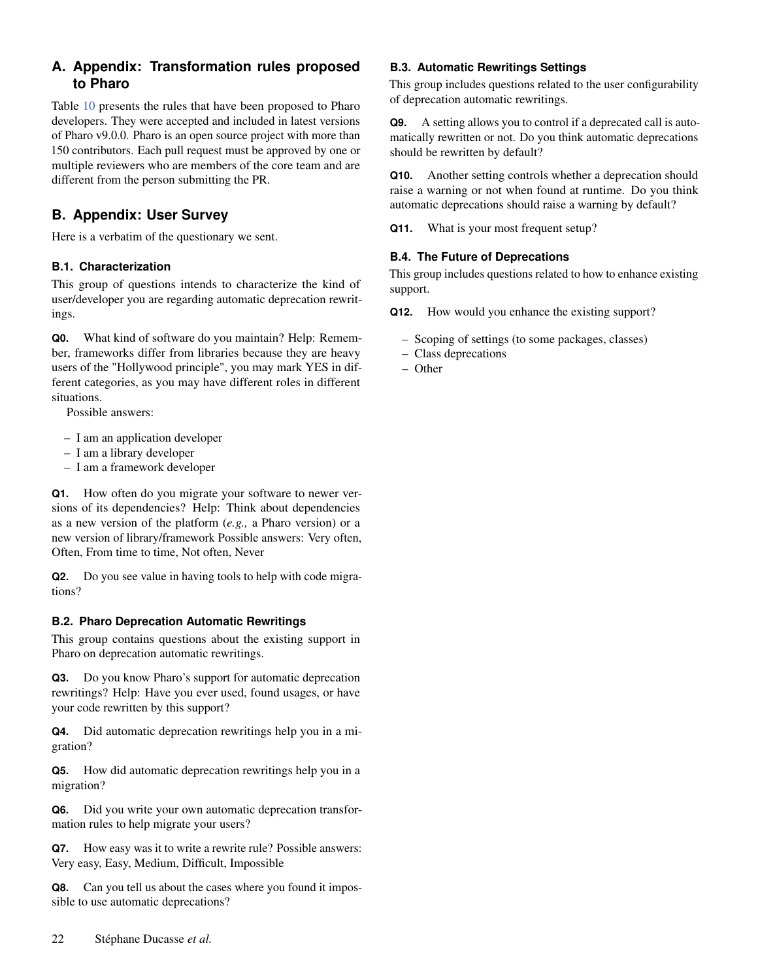# <span id="page-21-0"></span>**A. Appendix: Transformation rules proposed to Pharo**

Table [10](#page-22-0) presents the rules that have been proposed to Pharo developers. They were accepted and included in latest versions of Pharo v9.0.0. Pharo is an open source project with more than 150 contributors. Each pull request must be approved by one or multiple reviewers who are members of the core team and are different from the person submitting the PR.

# <span id="page-21-1"></span>**B. Appendix: User Survey**

Here is a verbatim of the questionary we sent.

## **B.1. Characterization**

This group of questions intends to characterize the kind of user/developer you are regarding automatic deprecation rewritings.

**Q0.** What kind of software do you maintain? Help: Remember, frameworks differ from libraries because they are heavy users of the "Hollywood principle", you may mark YES in different categories, as you may have different roles in different situations.

Possible answers:

- I am an application developer
- I am a library developer
- I am a framework developer

**Q1.** How often do you migrate your software to newer versions of its dependencies? Help: Think about dependencies as a new version of the platform (*e.g.,* a Pharo version) or a new version of library/framework Possible answers: Very often, Often, From time to time, Not often, Never

**Q2.** Do you see value in having tools to help with code migrations?

## **B.2. Pharo Deprecation Automatic Rewritings**

This group contains questions about the existing support in Pharo on deprecation automatic rewritings.

**Q3.** Do you know Pharo's support for automatic deprecation rewritings? Help: Have you ever used, found usages, or have your code rewritten by this support?

**Q4.** Did automatic deprecation rewritings help you in a migration?

**Q5.** How did automatic deprecation rewritings help you in a migration?

**Q6.** Did you write your own automatic deprecation transformation rules to help migrate your users?

**Q7.** How easy was it to write a rewrite rule? Possible answers: Very easy, Easy, Medium, Difficult, Impossible

**Q8.** Can you tell us about the cases where you found it impossible to use automatic deprecations?

## **B.3. Automatic Rewritings Settings**

This group includes questions related to the user configurability of deprecation automatic rewritings.

**Q9.** A setting allows you to control if a deprecated call is automatically rewritten or not. Do you think automatic deprecations should be rewritten by default?

**Q10.** Another setting controls whether a deprecation should raise a warning or not when found at runtime. Do you think automatic deprecations should raise a warning by default?

**Q11.** What is your most frequent setup?

## **B.4. The Future of Deprecations**

This group includes questions related to how to enhance existing support.

**Q12.** How would you enhance the existing support?

- Scoping of settings (to some packages, classes)
- Class deprecations
- Other